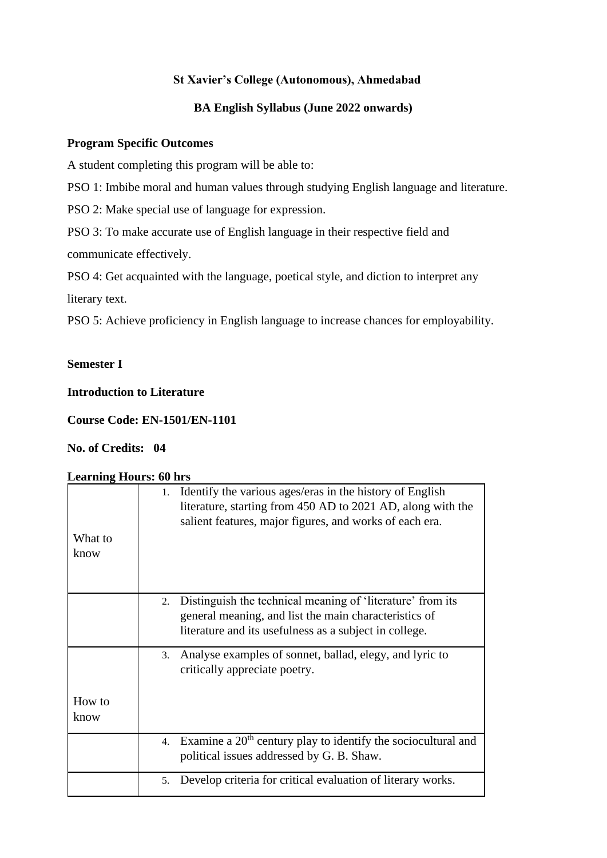### **St Xavier's College (Autonomous), Ahmedabad**

## **BA English Syllabus (June 2022 onwards)**

#### **Program Specific Outcomes**

A student completing this program will be able to:

PSO 1: Imbibe moral and human values through studying English language and literature.

PSO 2: Make special use of language for expression.

PSO 3: To make accurate use of English language in their respective field and communicate effectively.

PSO 4: Get acquainted with the language, poetical style, and diction to interpret any literary text.

PSO 5: Achieve proficiency in English language to increase chances for employability.

### **Semester I**

#### **Introduction to Literature**

**Course Code: EN-1501/EN-1101**

### **No. of Credits: 04**

#### **Learning Hours: 60 hrs**

| Identify the various ages/eras in the history of English<br>1.<br>literature, starting from 450 AD to 2021 AD, along with the<br>salient features, major figures, and works of each era. |
|------------------------------------------------------------------------------------------------------------------------------------------------------------------------------------------|
| Distinguish the technical meaning of 'literature' from its<br>2.                                                                                                                         |
|                                                                                                                                                                                          |
| general meaning, and list the main characteristics of                                                                                                                                    |
| literature and its usefulness as a subject in college.                                                                                                                                   |
| Analyse examples of sonnet, ballad, elegy, and lyric to<br>3.                                                                                                                            |
| critically appreciate poetry.                                                                                                                                                            |
|                                                                                                                                                                                          |
|                                                                                                                                                                                          |
|                                                                                                                                                                                          |
| 4. Examine a $20th$ century play to identify the sociocultural and                                                                                                                       |
| political issues addressed by G. B. Shaw.                                                                                                                                                |
| Develop criteria for critical evaluation of literary works.<br>5.                                                                                                                        |
|                                                                                                                                                                                          |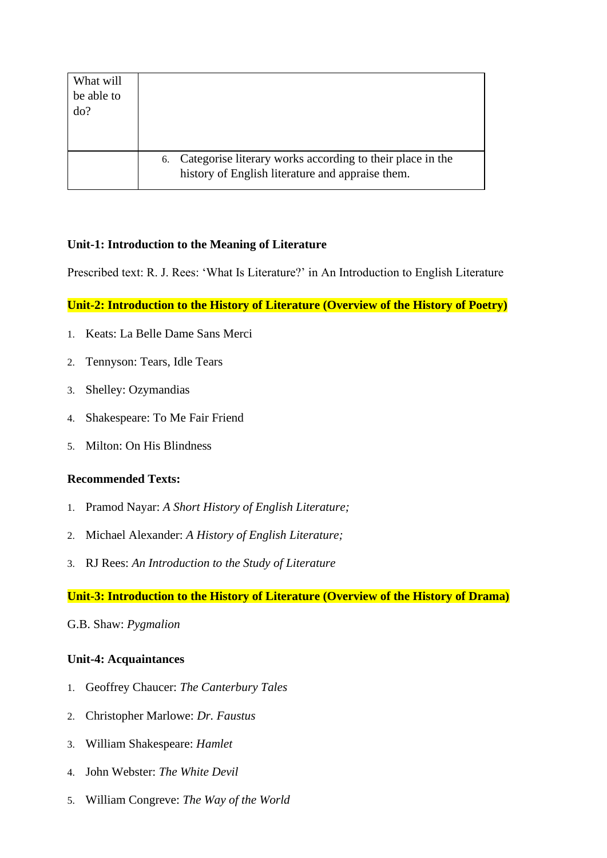| What will<br>be able to<br>do? |                                                                                                                  |
|--------------------------------|------------------------------------------------------------------------------------------------------------------|
|                                | 6. Categorise literary works according to their place in the<br>history of English literature and appraise them. |

#### **Unit-1: Introduction to the Meaning of Literature**

Prescribed text: R. J. Rees: 'What Is Literature?' in An Introduction to English Literature

#### **Unit-2: Introduction to the History of Literature (Overview of the History of Poetry)**

- 1. Keats: La Belle Dame Sans Merci
- 2. Tennyson: Tears, Idle Tears
- 3. Shelley: Ozymandias
- 4. Shakespeare: To Me Fair Friend
- 5. Milton: On His Blindness

#### **Recommended Texts:**

- 1. Pramod Nayar: *A Short History of English Literature;*
- 2. Michael Alexander: *A History of English Literature;*
- 3. RJ Rees: *An Introduction to the Study of Literature*

### **Unit-3: Introduction to the History of Literature (Overview of the History of Drama)**

#### G.B. Shaw: *Pygmalion*

### **Unit-4: Acquaintances**

- 1. Geoffrey Chaucer: *The Canterbury Tales*
- 2. Christopher Marlowe: *Dr. Faustus*
- 3. William Shakespeare: *Hamlet*
- 4. John Webster: *The White Devil*
- 5. William Congreve: *The Way of the World*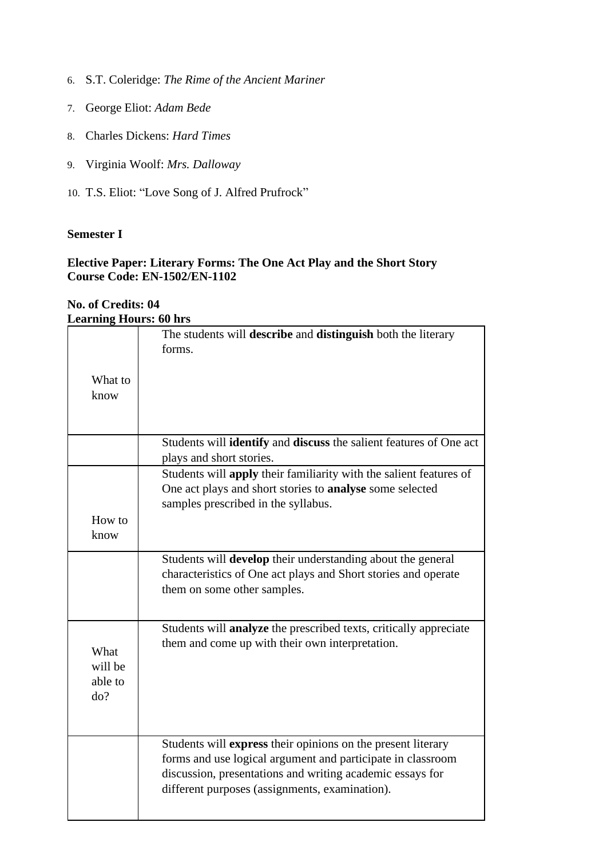- 6. S.T. Coleridge: *The Rime of the Ancient Mariner*
- 7. George Eliot: *Adam Bede*
- 8. Charles Dickens: *Hard Times*
- 9. Virginia Woolf: *Mrs. Dalloway*
- 10. T.S. Eliot: "Love Song of J. Alfred Prufrock"

#### **Elective Paper: Literary Forms: The One Act Play and the Short Story Course Code: EN-1502/EN-1102**

#### **No. of Credits: 04 Learning Hours: 60 hrs**

| Ltai mng 110013. ov m 5 |                                                                          |
|-------------------------|--------------------------------------------------------------------------|
|                         | The students will describe and distinguish both the literary             |
|                         | forms.                                                                   |
|                         |                                                                          |
| What to                 |                                                                          |
| know                    |                                                                          |
|                         |                                                                          |
|                         |                                                                          |
|                         | Students will identify and discuss the salient features of One act       |
|                         | plays and short stories.                                                 |
|                         | Students will apply their familiarity with the salient features of       |
|                         | One act plays and short stories to <b>analyse</b> some selected          |
|                         | samples prescribed in the syllabus.                                      |
| How to                  |                                                                          |
| know                    |                                                                          |
|                         |                                                                          |
|                         | Students will develop their understanding about the general              |
|                         | characteristics of One act plays and Short stories and operate           |
|                         | them on some other samples.                                              |
|                         |                                                                          |
|                         | Students will <b>analyze</b> the prescribed texts, critically appreciate |
|                         | them and come up with their own interpretation.                          |
| What                    |                                                                          |
| will be                 |                                                                          |
| able to                 |                                                                          |
| do?                     |                                                                          |
|                         |                                                                          |
|                         |                                                                          |
|                         | Students will express their opinions on the present literary             |
|                         | forms and use logical argument and participate in classroom              |
|                         | discussion, presentations and writing academic essays for                |
|                         | different purposes (assignments, examination).                           |
|                         |                                                                          |
|                         |                                                                          |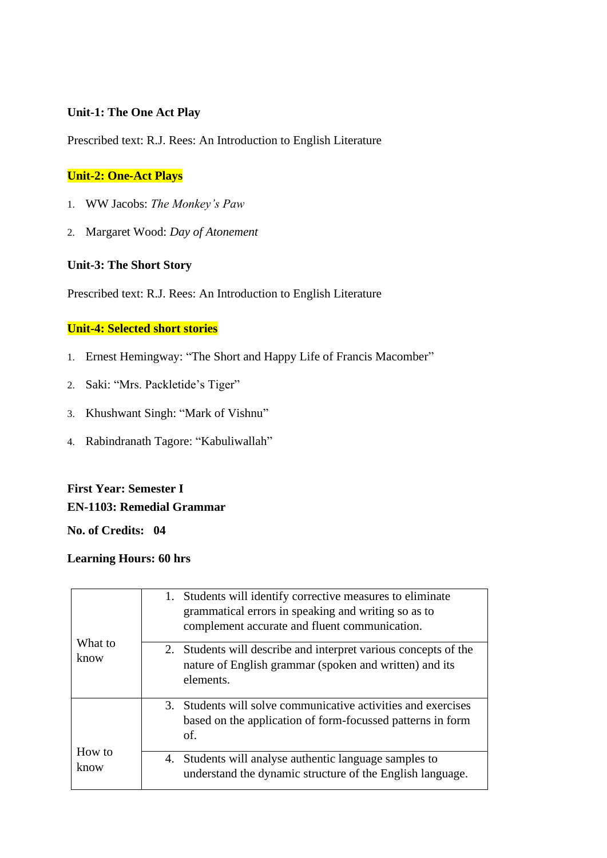#### **Unit-1: The One Act Play**

Prescribed text: R.J. Rees: An Introduction to English Literature

## **Unit-2: One-Act Plays**

- 1. WW Jacobs: *The Monkey's Paw*
- 2. Margaret Wood: *Day of Atonement*

## **Unit-3: The Short Story**

Prescribed text: R.J. Rees: An Introduction to English Literature

### **Unit-4: Selected short stories**

- 1. Ernest Hemingway: "The Short and Happy Life of Francis Macomber"
- 2. Saki: "Mrs. Packletide's Tiger"
- 3. Khushwant Singh: "Mark of Vishnu"
- 4. Rabindranath Tagore: "Kabuliwallah"

## **First Year: Semester I EN-1103: Remedial Grammar**

**No. of Credits: 04**

#### **Learning Hours: 60 hrs**

|                 | 1. Students will identify corrective measures to eliminate<br>grammatical errors in speaking and writing so as to<br>complement accurate and fluent communication. |
|-----------------|--------------------------------------------------------------------------------------------------------------------------------------------------------------------|
| What to<br>know | 2. Students will describe and interpret various concepts of the<br>nature of English grammar (spoken and written) and its<br>elements.                             |
|                 | 3. Students will solve communicative activities and exercises<br>based on the application of form-focussed patterns in form<br>of.                                 |
| How to<br>know  | 4. Students will analyse authentic language samples to<br>understand the dynamic structure of the English language.                                                |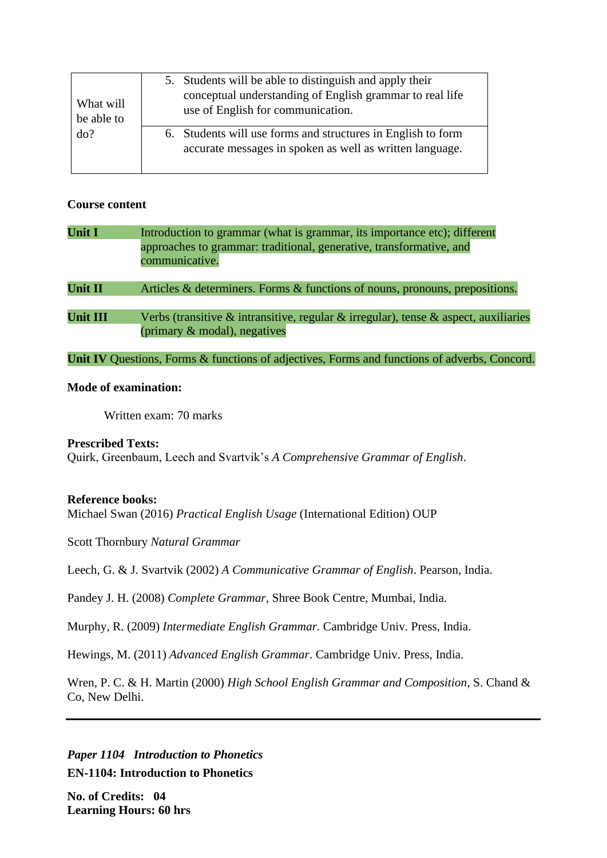| What will<br>be able to<br>do? | 5. Students will be able to distinguish and apply their<br>conceptual understanding of English grammar to real life<br>use of English for communication. |
|--------------------------------|----------------------------------------------------------------------------------------------------------------------------------------------------------|
|                                | 6. Students will use forms and structures in English to form<br>accurate messages in spoken as well as written language.                                 |

#### **Course content**

| <b>Unit I</b>   | Introduction to grammar (what is grammar, its importance etc); different<br>approaches to grammar: traditional, generative, transformative, and<br>communicative. |
|-----------------|-------------------------------------------------------------------------------------------------------------------------------------------------------------------|
| <b>Unit II</b>  | Articles & determiners. Forms & functions of nouns, pronouns, prepositions.                                                                                       |
| <b>Unit III</b> | Verbs (transitive $\&$ intransitive, regular $\&$ irregular), tense $\&$ aspect, auxiliaries<br>(primary $\&$ modal), negatives                                   |
|                 | Unit IV Questions, Forms & functions of adjectives, Forms and functions of adverbs, Concord.                                                                      |

#### **Mode of examination:**

Written exam: 70 marks

#### **Prescribed Texts:**

Quirk, Greenbaum, Leech and Svartvik's *A Comprehensive Grammar of English*.

### **Reference books:**

Michael Swan (2016) *Practical English Usage* (International Edition) OUP

Scott Thornbury *Natural Grammar*

Leech, G. & J. Svartvik (2002) *A Communicative Grammar of English*. Pearson, India.

Pandey J. H. (2008) *Complete Grammar*, Shree Book Centre, Mumbai, India.

Murphy, R. (2009) *Intermediate English Grammar.* Cambridge Univ. Press, India.

Hewings, M. (2011) *Advanced English Grammar*. Cambridge Univ. Press, India.

Wren, P. C. & H. Martin (2000) *High School English Grammar and Composition*, S. Chand & Co, New Delhi.

*Paper 1104 Introduction to Phonetics* **EN-1104: Introduction to Phonetics**

**No. of Credits: 04 Learning Hours: 60 hrs**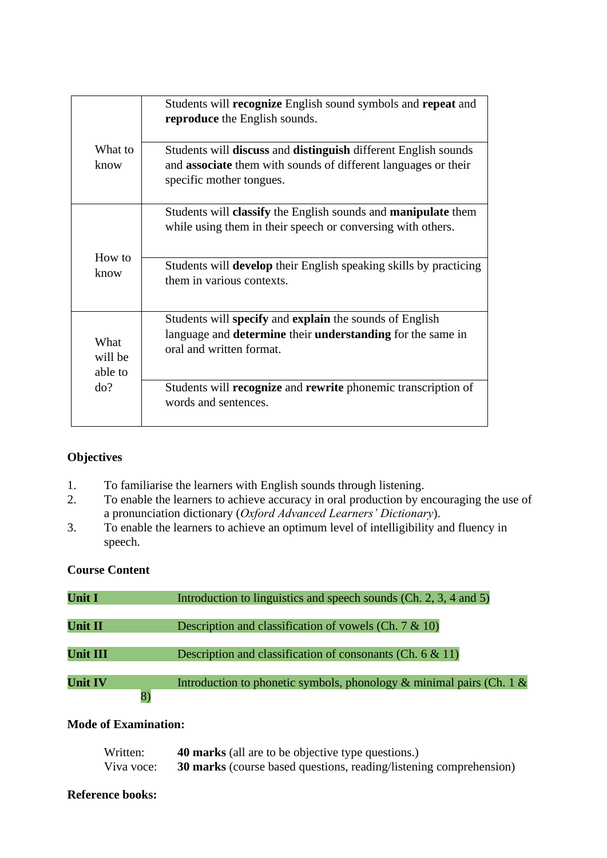|                            | Students will recognize English sound symbols and repeat and<br>reproduce the English sounds.                                                                                     |
|----------------------------|-----------------------------------------------------------------------------------------------------------------------------------------------------------------------------------|
| What to<br>know            | Students will <b>discuss</b> and <b>distinguish</b> different English sounds<br>and <b>associate</b> them with sounds of different languages or their<br>specific mother tongues. |
| How to                     | Students will classify the English sounds and manipulate them<br>while using them in their speech or conversing with others.                                                      |
| know                       | Students will <b>develop</b> their English speaking skills by practicing<br>them in various contexts.                                                                             |
| What<br>will be<br>able to | Students will specify and explain the sounds of English<br>language and <b>determine</b> their <b>understanding</b> for the same in<br>oral and written format.                   |
| do?                        | Students will recognize and rewrite phonemic transcription of<br>words and sentences.                                                                                             |

## **Objectives**

- 1. To familiarise the learners with English sounds through listening.
- 2. To enable the learners to achieve accuracy in oral production by encouraging the use of a pronunciation dictionary (*Oxford Advanced Learners' Dictionary*).
- 3. To enable the learners to achieve an optimum level of intelligibility and fluency in speech.

## **Course Content**

| <b>Unit I</b>        | Introduction to linguistics and speech sounds (Ch. 2, 3, 4 and 5)          |
|----------------------|----------------------------------------------------------------------------|
| <b>Unit II</b>       | Description and classification of vowels (Ch. $7 & 10$ )                   |
| <b>Unit III</b>      | Description and classification of consonants (Ch. $6 \& 11$ )              |
| <b>Unit IV</b><br>8) | Introduction to phonetic symbols, phonology $\&$ minimal pairs (Ch. 1 $\&$ |

## **Mode of Examination:**

| Written:   | <b>40 marks</b> (all are to be objective type questions.)                 |
|------------|---------------------------------------------------------------------------|
| Viva voce: | <b>30 marks</b> (course based questions, reading/listening comprehension) |

#### **Reference books:**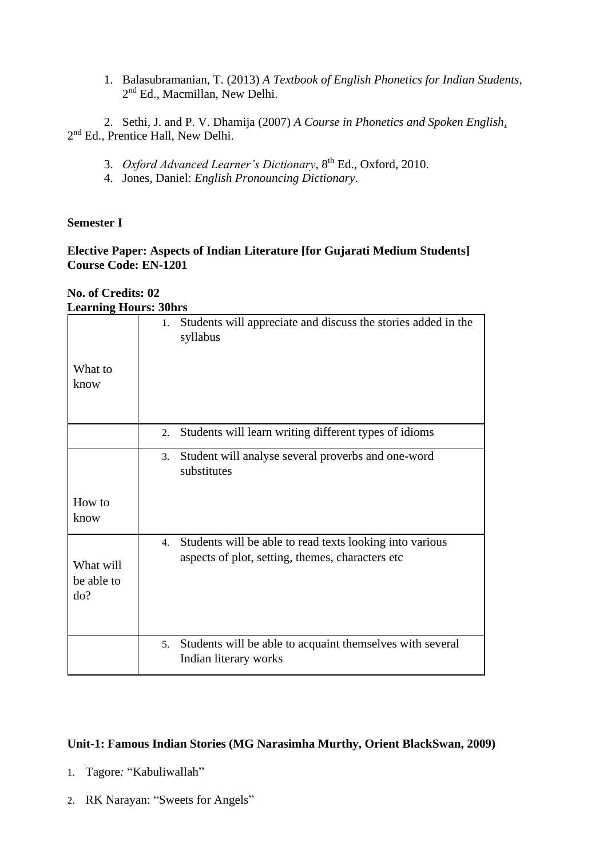1. Balasubramanian, T. (2013) *A Textbook of English Phonetics for Indian Students*, 2<sup>nd</sup> Ed., Macmillan, New Delhi.

2. Sethi, J. and P. V. Dhamija (2007) *A Course in Phonetics and Spoken English*, 2<sup>nd</sup> Ed., Prentice Hall, New Delhi.

- 3. *Oxford Advanced Learner's Dictionary*, 8th Ed., Oxford, 2010.
- 4. Jones, Daniel: *English Pronouncing Dictionary*.

#### **Semester I**

#### **Elective Paper: Aspects of Indian Literature [for Gujarati Medium Students] Course Code: EN-1201**

#### **No. of Credits: 02 Learning Hours: 30hrs**

| What to<br>know                | Students will appreciate and discuss the stories added in the<br>1.<br>syllabus                                     |
|--------------------------------|---------------------------------------------------------------------------------------------------------------------|
|                                | Students will learn writing different types of idioms<br>2.                                                         |
|                                | Student will analyse several proverbs and one-word<br>3.<br>substitutes                                             |
| How to<br>know                 |                                                                                                                     |
| What will<br>be able to<br>do? | Students will be able to read texts looking into various<br>4.<br>aspects of plot, setting, themes, characters etc. |
|                                | Students will be able to acquaint themselves with several<br>5.<br>Indian literary works                            |

### **Unit-1: Famous Indian Stories (MG Narasimha Murthy, Orient BlackSwan, 2009)**

- 1. Tagore*:* "Kabuliwallah"
- 2. RK Narayan: "Sweets for Angels"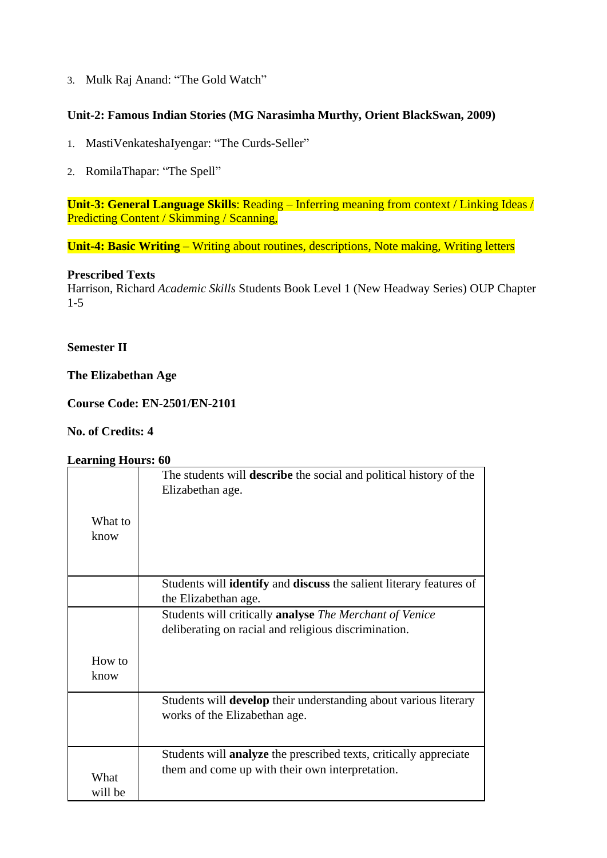3. Mulk Raj Anand: "The Gold Watch"

### **Unit-2: Famous Indian Stories (MG Narasimha Murthy, Orient BlackSwan, 2009)**

- 1. MastiVenkateshaIyengar: "The Curds-Seller"
- 2. RomilaThapar: "The Spell"

**Unit-3: General Language Skills**: Reading – Inferring meaning from context / Linking Ideas / Predicting Content / Skimming / Scanning,

**Unit-4: Basic Writing** – Writing about routines, descriptions, Note making, Writing letters

#### **Prescribed Texts**

Harrison, Richard *Academic Skills* Students Book Level 1 (New Headway Series) OUP Chapter 1-5

#### **Semester II**

#### **The Elizabethan Age**

**Course Code: EN-2501/EN-2101**

### **No. of Credits: 4**

#### **Learning Hours: 60**

|         | The students will <b>describe</b> the social and political history of the<br>Elizabethan age. |
|---------|-----------------------------------------------------------------------------------------------|
| What to |                                                                                               |
|         |                                                                                               |
| know    |                                                                                               |
|         |                                                                                               |
|         |                                                                                               |
|         | Students will <b>identify</b> and <b>discuss</b> the salient literary features of             |
|         | the Elizabethan age.                                                                          |
|         | Students will critically <b>analyse</b> The Merchant of Venice                                |
|         | deliberating on racial and religious discrimination.                                          |
|         |                                                                                               |
| How to  |                                                                                               |
| know    |                                                                                               |
|         |                                                                                               |
|         | Students will develop their understanding about various literary                              |
|         | works of the Elizabethan age.                                                                 |
|         |                                                                                               |
|         |                                                                                               |
|         | Students will <b>analyze</b> the prescribed texts, critically appreciate                      |
|         | them and come up with their own interpretation.                                               |
| What    |                                                                                               |
| will be |                                                                                               |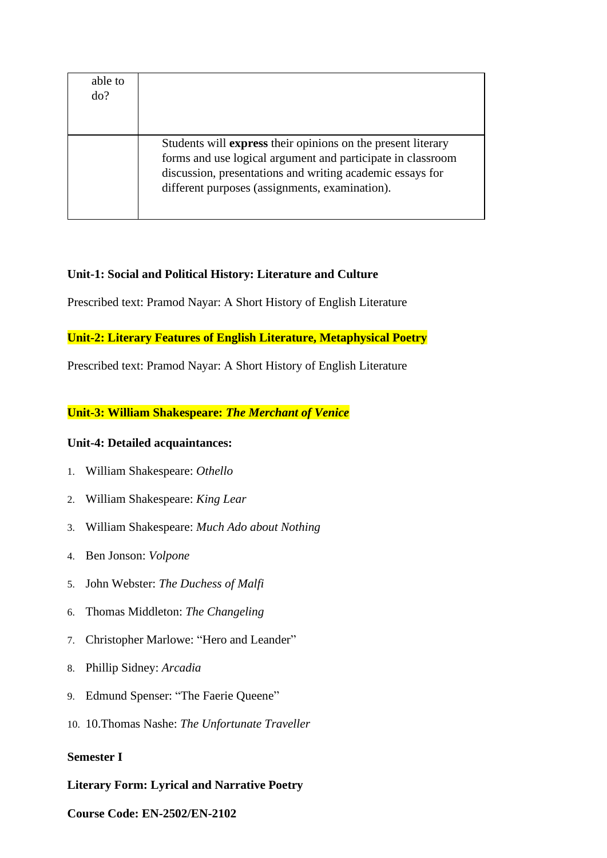| able to<br>do? |                                                                                                                                                                                                                                            |
|----------------|--------------------------------------------------------------------------------------------------------------------------------------------------------------------------------------------------------------------------------------------|
|                |                                                                                                                                                                                                                                            |
|                | Students will express their opinions on the present literary<br>forms and use logical argument and participate in classroom<br>discussion, presentations and writing academic essays for<br>different purposes (assignments, examination). |

### **Unit-1: Social and Political History: Literature and Culture**

Prescribed text: Pramod Nayar: A Short History of English Literature

#### **Unit-2: Literary Features of English Literature, Metaphysical Poetry**

Prescribed text: Pramod Nayar: A Short History of English Literature

#### **Unit-3: William Shakespeare:** *The Merchant of Venice*

#### **Unit-4: Detailed acquaintances:**

- 1. William Shakespeare: *Othello*
- 2. William Shakespeare: *King Lear*
- 3. William Shakespeare: *Much Ado about Nothing*
- 4. Ben Jonson: *Volpone*
- 5. John Webster: *The Duchess of Malfi*
- 6. Thomas Middleton: *The Changeling*
- 7. Christopher Marlowe: "Hero and Leander"
- 8. Phillip Sidney: *Arcadia*
- 9. Edmund Spenser: "The Faerie Queene"
- 10. 10.Thomas Nashe: *The Unfortunate Traveller*

### **Semester I**

#### **Literary Form: Lyrical and Narrative Poetry**

#### **Course Code: EN-2502/EN-2102**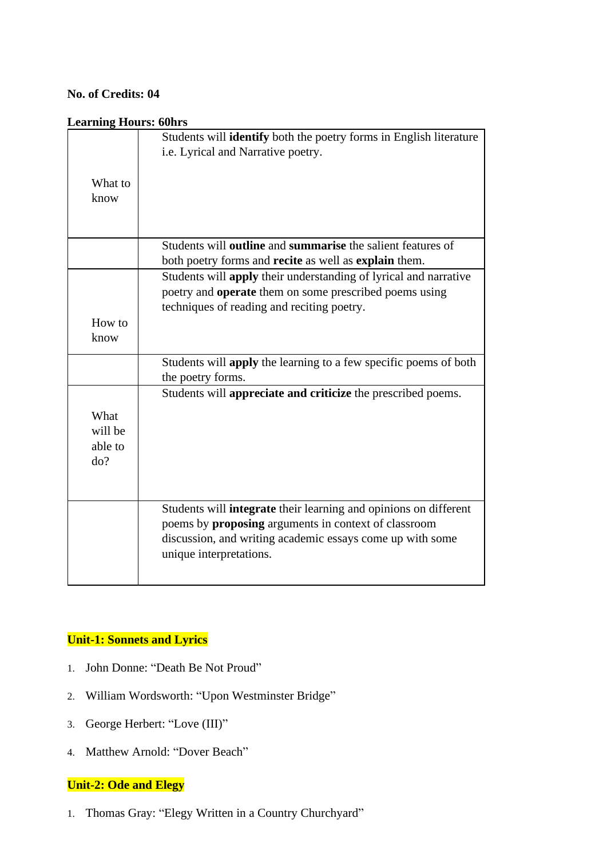## **No. of Credits: 04**

#### **Learning Hours: 60hrs**

|                                   | Students will <b>identify</b> both the poetry forms in English literature<br>i.e. Lyrical and Narrative poetry.                                                                                                  |
|-----------------------------------|------------------------------------------------------------------------------------------------------------------------------------------------------------------------------------------------------------------|
| What to<br>know                   |                                                                                                                                                                                                                  |
|                                   | Students will <b>outline</b> and <b>summarise</b> the salient features of                                                                                                                                        |
|                                   | both poetry forms and recite as well as explain them.                                                                                                                                                            |
|                                   | Students will apply their understanding of lyrical and narrative                                                                                                                                                 |
|                                   | poetry and <b>operate</b> them on some prescribed poems using                                                                                                                                                    |
|                                   | techniques of reading and reciting poetry.                                                                                                                                                                       |
| How to<br>know                    |                                                                                                                                                                                                                  |
|                                   | Students will apply the learning to a few specific poems of both<br>the poetry forms.                                                                                                                            |
|                                   | Students will appreciate and criticize the prescribed poems.                                                                                                                                                     |
| What<br>will be<br>able to<br>do? |                                                                                                                                                                                                                  |
|                                   | Students will integrate their learning and opinions on different<br>poems by proposing arguments in context of classroom<br>discussion, and writing academic essays come up with some<br>unique interpretations. |

## **Unit-1: Sonnets and Lyrics**

- 1. John Donne: "Death Be Not Proud"
- 2. William Wordsworth: "Upon Westminster Bridge"
- 3. George Herbert: "Love (III)"
- 4. Matthew Arnold: "Dover Beach"

## **Unit-2: Ode and Elegy**

1. Thomas Gray: "Elegy Written in a Country Churchyard"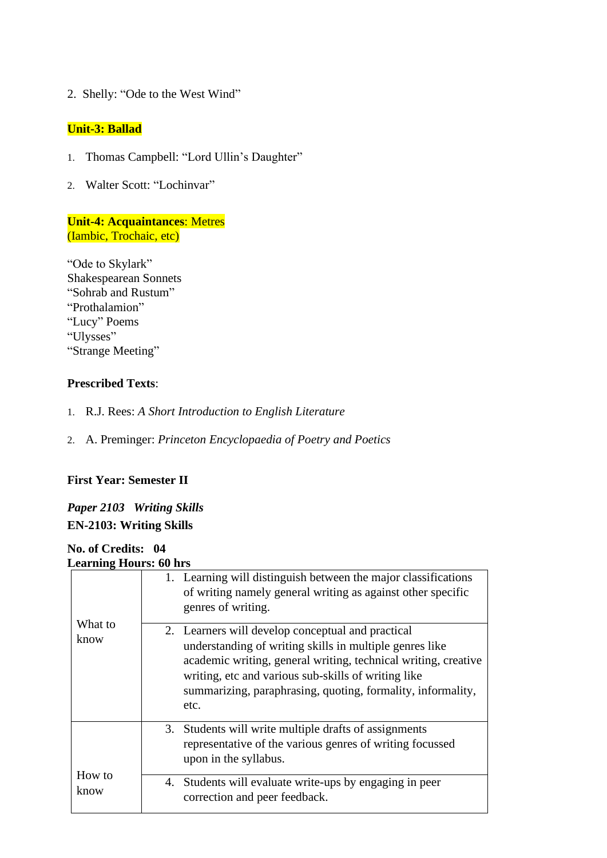2. Shelly: "Ode to the West Wind"

#### **Unit-3: Ballad**

- 1. Thomas Campbell: "Lord Ullin's Daughter"
- 2. Walter Scott: "Lochinvar"

**Unit-4: Acquaintances**: Metres (Iambic, Trochaic, etc)

"Ode to Skylark" Shakespearean Sonnets "Sohrab and Rustum" "Prothalamion" "Lucy" Poems "Ulysses" "Strange Meeting"

### **Prescribed Texts**:

- 1. R.J. Rees: *A Short Introduction to English Literature*
- 2. A. Preminger: *Princeton Encyclopaedia of Poetry and Poetics*

## **First Year: Semester II**

*Paper 2103 Writing Skills* **EN-2103: Writing Skills**

#### **No. of Credits: 04 Learning Hours: 60 hrs**

|                 | 1. Learning will distinguish between the major classifications<br>of writing namely general writing as against other specific<br>genres of writing.                                                                                                                                                          |
|-----------------|--------------------------------------------------------------------------------------------------------------------------------------------------------------------------------------------------------------------------------------------------------------------------------------------------------------|
| What to<br>know | 2. Learners will develop conceptual and practical<br>understanding of writing skills in multiple genres like<br>academic writing, general writing, technical writing, creative<br>writing, etc and various sub-skills of writing like<br>summarizing, paraphrasing, quoting, formality, informality,<br>etc. |
|                 | 3. Students will write multiple drafts of assignments<br>representative of the various genres of writing focussed<br>upon in the syllabus.                                                                                                                                                                   |
| How to<br>know  | 4. Students will evaluate write-ups by engaging in peer<br>correction and peer feedback.                                                                                                                                                                                                                     |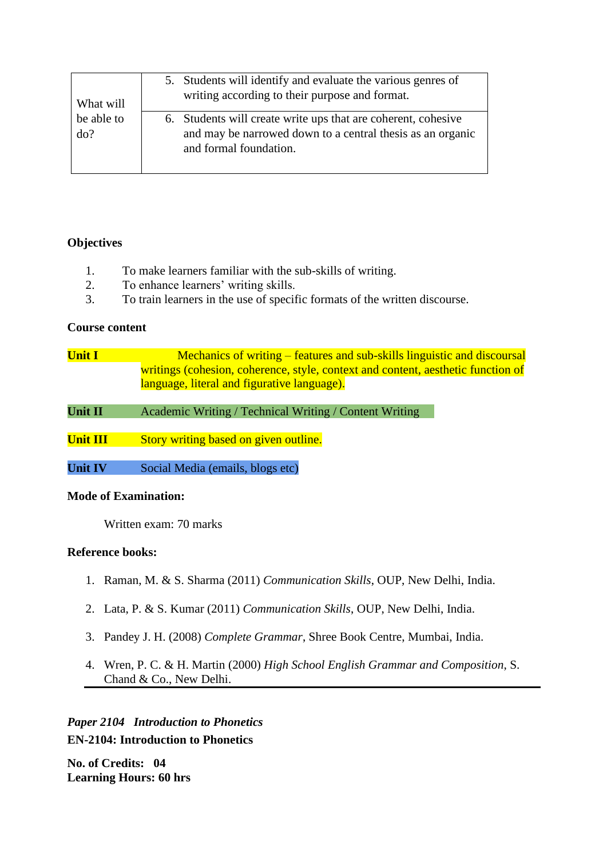| What will<br>be able to<br>do? | 5. Students will identify and evaluate the various genres of<br>writing according to their purpose and format.                                        |
|--------------------------------|-------------------------------------------------------------------------------------------------------------------------------------------------------|
|                                | 6. Students will create write ups that are coherent, cohesive<br>and may be narrowed down to a central thesis as an organic<br>and formal foundation. |

### **Objectives**

- 1. To make learners familiar with the sub-skills of writing.
- 2. To enhance learners' writing skills.
- 3. To train learners in the use of specific formats of the written discourse.

#### **Course content**

| <b>Unit I</b>   | <u>Mechanics of writing – features and sub-skills linguistic and discoursal</u>  |
|-----------------|----------------------------------------------------------------------------------|
|                 | writings (cohesion, coherence, style, context and content, aesthetic function of |
|                 | language, literal and figurative language).                                      |
|                 |                                                                                  |
| Unit II         | Academic Writing / Technical Writing / Content Writing                           |
|                 |                                                                                  |
| <b>Unit III</b> | Story writing based on given outline.                                            |
|                 |                                                                                  |
| <b>Unit IV</b>  | Social Media (emails, blogs etc)                                                 |

#### **Mode of Examination:**

Written exam: 70 marks

#### **Reference books:**

- 1. Raman, M. & S. Sharma (2011) *Communication Skills*, OUP, New Delhi, India.
- 2. Lata, P. & S. Kumar (2011) *Communication Skills*, OUP, New Delhi, India.
- 3. Pandey J. H. (2008) *Complete Grammar*, Shree Book Centre, Mumbai, India.
- 4. Wren, P. C. & H. Martin (2000) *High School English Grammar and Composition*, S. Chand & Co., New Delhi.

*Paper 2104 Introduction to Phonetics* **EN-2104: Introduction to Phonetics**

**No. of Credits: 04 Learning Hours: 60 hrs**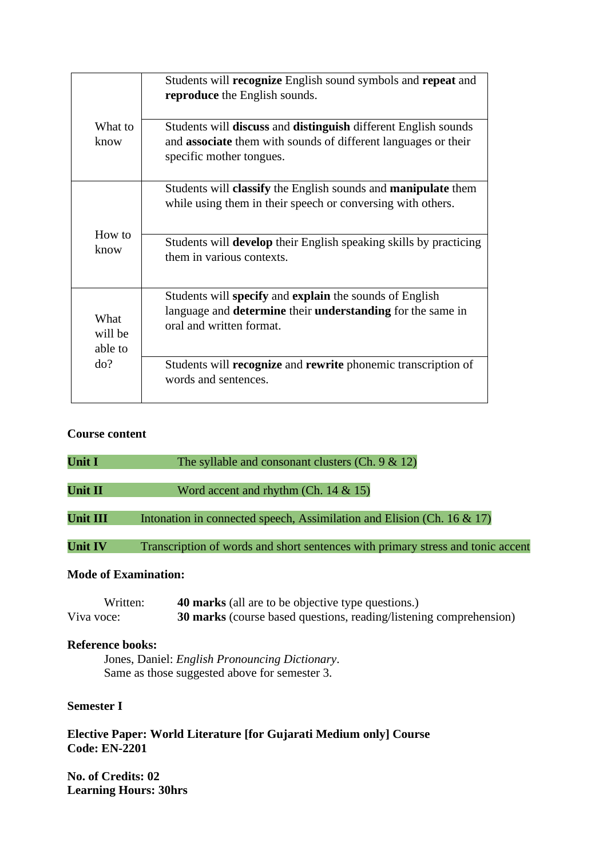|                            | Students will recognize English sound symbols and repeat and<br>reproduce the English sounds.                                                                   |
|----------------------------|-----------------------------------------------------------------------------------------------------------------------------------------------------------------|
| What to                    | Students will discuss and distinguish different English sounds                                                                                                  |
| know                       | and associate them with sounds of different languages or their<br>specific mother tongues.                                                                      |
|                            | Students will <b>classify</b> the English sounds and <b>manipulate</b> them<br>while using them in their speech or conversing with others.                      |
| How to<br>know             | Students will develop their English speaking skills by practicing<br>them in various contexts.                                                                  |
| What<br>will be<br>able to | Students will specify and explain the sounds of English<br>language and <b>determine</b> their <b>understanding</b> for the same in<br>oral and written format. |
| do?                        | Students will recognize and rewrite phonemic transcription of<br>words and sentences.                                                                           |

## **Course content**

| <b>Unit I</b>   | The syllable and consonant clusters (Ch. $9 & 12$ )                             |
|-----------------|---------------------------------------------------------------------------------|
| Unit II         | Word accent and rhythm (Ch. $14 \& 15$ )                                        |
| <b>Unit III</b> | Intonation in connected speech, Assimilation and Elision (Ch. $16 \& 17$ )      |
| <b>Unit IV</b>  | Transcription of words and short sentences with primary stress and tonic accent |

## **Mode of Examination:**

| Written:   | <b>40 marks</b> (all are to be objective type questions.)                 |
|------------|---------------------------------------------------------------------------|
| Viva voce: | <b>30 marks</b> (course based questions, reading/listening comprehension) |

#### **Reference books:**

Jones, Daniel: *English Pronouncing Dictionary*. Same as those suggested above for semester 3.

#### **Semester I**

**Elective Paper: World Literature [for Gujarati Medium only] Course Code: EN-2201**

**No. of Credits: 02 Learning Hours: 30hrs**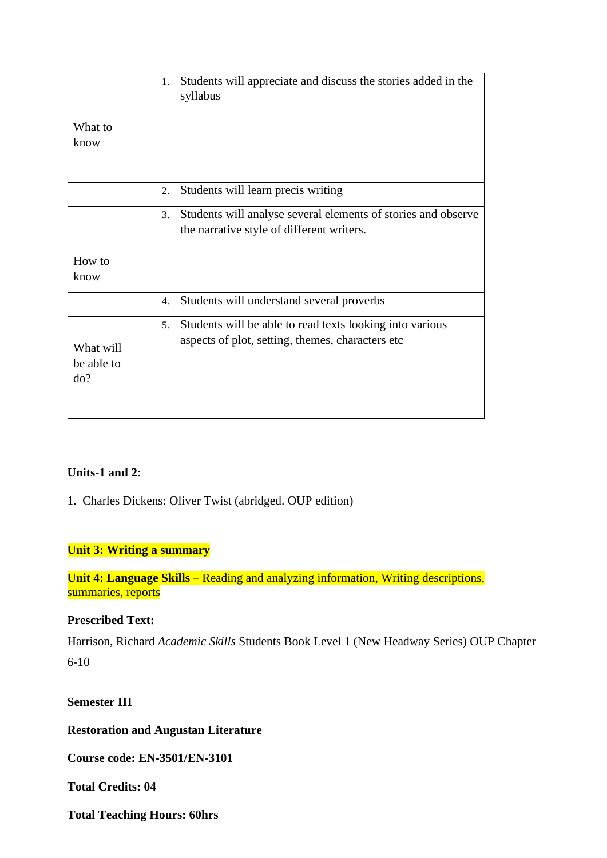|                                | Students will appreciate and discuss the stories added in the<br>1.<br>syllabus                                                 |
|--------------------------------|---------------------------------------------------------------------------------------------------------------------------------|
| What to                        |                                                                                                                                 |
| know                           |                                                                                                                                 |
|                                |                                                                                                                                 |
|                                | Students will learn precis writing<br>2.                                                                                        |
|                                | Students will analyse several elements of stories and observe<br>3.<br>the narrative style of different writers.                |
| How to<br>know                 |                                                                                                                                 |
|                                | Students will understand several proverbs<br>4.                                                                                 |
| What will<br>be able to<br>do? | Students will be able to read texts looking into various<br>5 <sub>1</sub><br>aspects of plot, setting, themes, characters etc. |

### **Units-1 and 2**:

1. Charles Dickens: Oliver Twist (abridged. OUP edition)

### **Unit 3: Writing a summary**

**Unit 4: Language Skills** – Reading and analyzing information, Writing descriptions, summaries, reports

## **Prescribed Text:**

Harrison, Richard *Academic Skills* Students Book Level 1 (New Headway Series) OUP Chapter 6-10

**Semester III**

**Restoration and Augustan Literature**

**Course code: EN-3501/EN-3101**

**Total Credits: 04**

**Total Teaching Hours: 60hrs**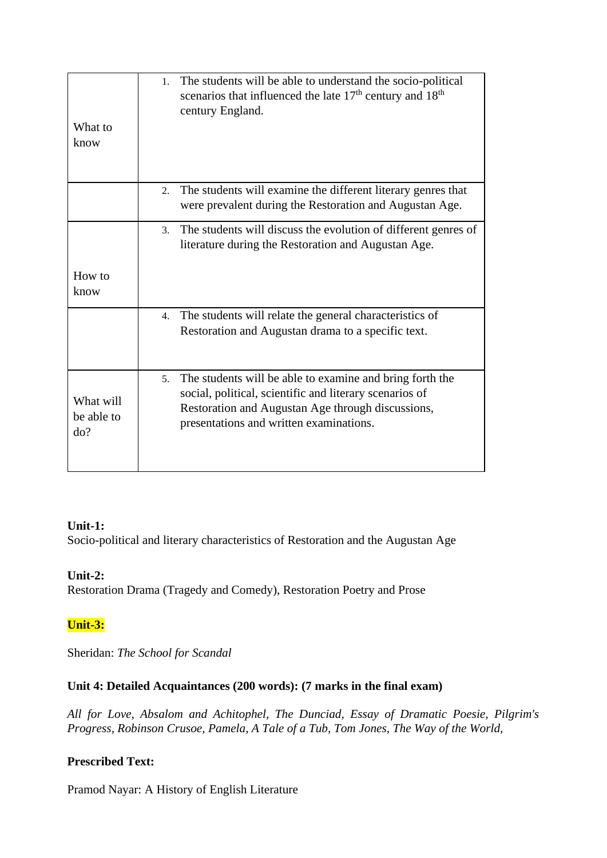| What to<br>know                | 1. The students will be able to understand the socio-political<br>scenarios that influenced the late 17 <sup>th</sup> century and 18 <sup>th</sup><br>century England.                                                    |
|--------------------------------|---------------------------------------------------------------------------------------------------------------------------------------------------------------------------------------------------------------------------|
|                                | The students will examine the different literary genres that<br>2.<br>were prevalent during the Restoration and Augustan Age.                                                                                             |
|                                | The students will discuss the evolution of different genres of<br>$\mathfrak{Z}$ .<br>literature during the Restoration and Augustan Age.                                                                                 |
| How to<br>know                 |                                                                                                                                                                                                                           |
|                                | The students will relate the general characteristics of<br>4.<br>Restoration and Augustan drama to a specific text.                                                                                                       |
| What will<br>be able to<br>do? | The students will be able to examine and bring forth the<br>5.<br>social, political, scientific and literary scenarios of<br>Restoration and Augustan Age through discussions,<br>presentations and written examinations. |

### **Unit-1:**

Socio-political and literary characteristics of Restoration and the Augustan Age

### **Unit-2:**

Restoration Drama (Tragedy and Comedy), Restoration Poetry and Prose

### **Unit-3:**

Sheridan: *The School for Scandal*

## **Unit 4: Detailed Acquaintances (200 words): (7 marks in the final exam)**

*All for Love, Absalom and Achitophel, The Dunciad, Essay of Dramatic Poesie, Pilgrim's Progress, Robinson Crusoe, Pamela, A Tale of a Tub, Tom Jones, The Way of the World,*

### **Prescribed Text:**

Pramod Nayar: A History of English Literature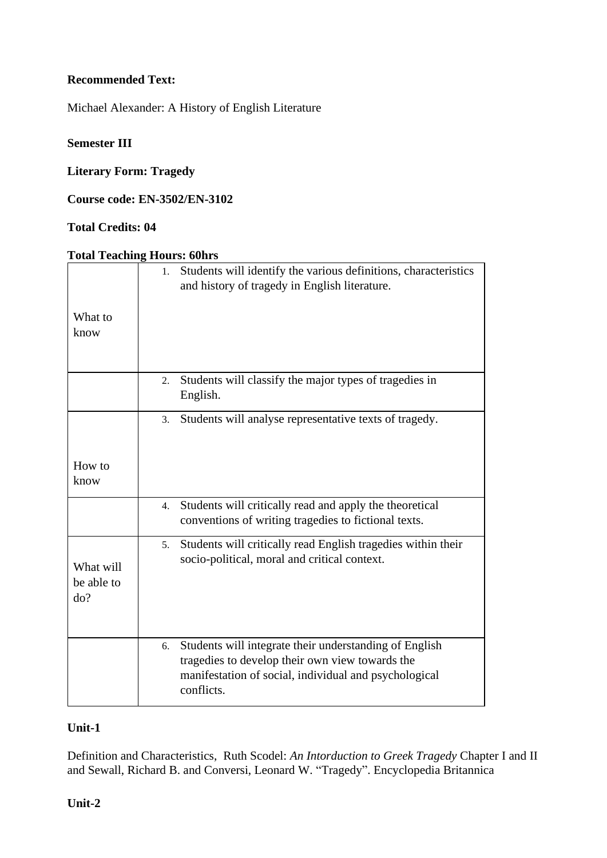### **Recommended Text:**

Michael Alexander: A History of English Literature

## **Semester III**

## **Literary Form: Tragedy**

**Course code: EN-3502/EN-3102**

## **Total Credits: 04**

#### **Total Teaching Hours: 60hrs**

| What to                        | Students will identify the various definitions, characteristics<br>1.<br>and history of tragedy in English literature.                                                                 |
|--------------------------------|----------------------------------------------------------------------------------------------------------------------------------------------------------------------------------------|
| know                           |                                                                                                                                                                                        |
|                                | Students will classify the major types of tragedies in<br>2.<br>English.                                                                                                               |
|                                | Students will analyse representative texts of tragedy.<br>3.                                                                                                                           |
| How to<br>know                 |                                                                                                                                                                                        |
|                                | Students will critically read and apply the theoretical<br>4.<br>conventions of writing tragedies to fictional texts.                                                                  |
| What will<br>be able to<br>do? | Students will critically read English tragedies within their<br>5.<br>socio-political, moral and critical context.                                                                     |
|                                | Students will integrate their understanding of English<br>6.<br>tragedies to develop their own view towards the<br>manifestation of social, individual and psychological<br>conflicts. |

#### **Unit-1**

Definition and Characteristics, Ruth Scodel: *An Intorduction to Greek Tragedy* Chapter I and II and Sewall, Richard B. and Conversi, Leonard W. "Tragedy". Encyclopedia Britannica

#### **Unit-2**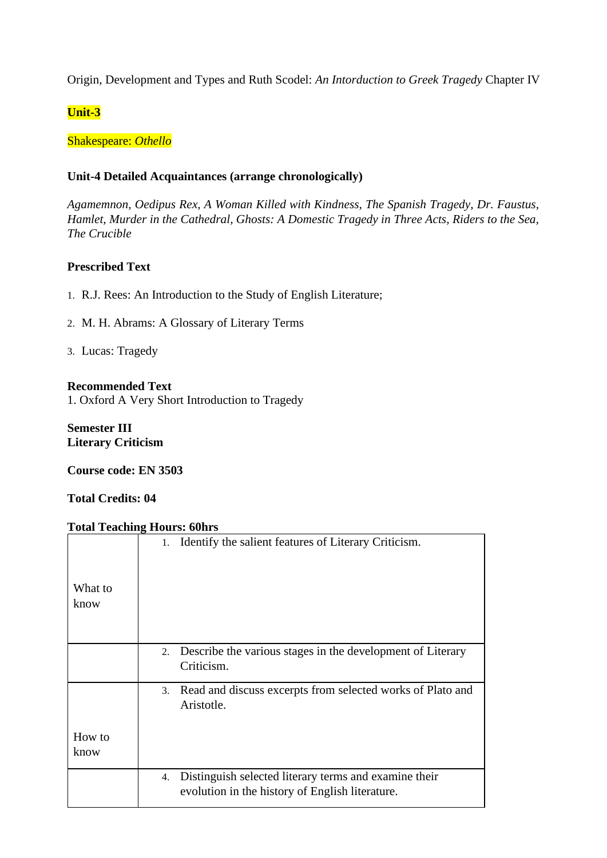Origin, Development and Types and Ruth Scodel: *An Intorduction to Greek Tragedy* Chapter IV

**Unit-3**

Shakespeare: *Othello*

#### **Unit-4 Detailed Acquaintances (arrange chronologically)**

*Agamemnon, Oedipus Rex, A Woman Killed with Kindness, The Spanish Tragedy, Dr. Faustus, Hamlet, Murder in the Cathedral, Ghosts: A Domestic Tragedy in Three Acts, Riders to the Sea, The Crucible*

### **Prescribed Text**

- 1. R.J. Rees: An Introduction to the Study of English Literature;
- 2. M. H. Abrams: A Glossary of Literary Terms

3. Lucas: Tragedy

#### **Recommended Text**

1. Oxford A Very Short Introduction to Tragedy

**Semester III Literary Criticism**

**Course code: EN 3503**

**Total Credits: 04**

#### **Total Teaching Hours: 60hrs**

|         | 1. Identify the salient features of Literary Criticism.          |
|---------|------------------------------------------------------------------|
| What to |                                                                  |
|         |                                                                  |
| know    |                                                                  |
|         |                                                                  |
|         |                                                                  |
|         |                                                                  |
|         | Describe the various stages in the development of Literary<br>2. |
|         | Criticism.                                                       |
|         |                                                                  |
|         | 3. Read and discuss excerpts from selected works of Plato and    |
|         | Aristotle.                                                       |
|         |                                                                  |
|         |                                                                  |
| How to  |                                                                  |
|         |                                                                  |
| know    |                                                                  |
|         |                                                                  |
|         | Distinguish selected literary terms and examine their<br>4.      |
|         | evolution in the history of English literature.                  |
|         |                                                                  |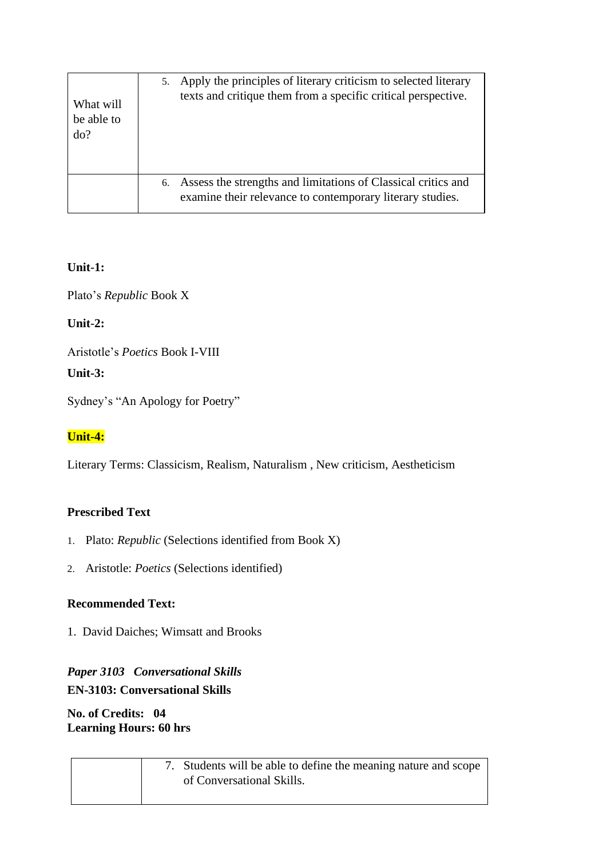| What will  | Apply the principles of literary criticism to selected literary                                                                  |
|------------|----------------------------------------------------------------------------------------------------------------------------------|
| be able to | 5.                                                                                                                               |
| do?        | texts and critique them from a specific critical perspective.                                                                    |
|            | Assess the strengths and limitations of Classical critics and<br>6.<br>examine their relevance to contemporary literary studies. |

## **Unit**-**1:**

Plato's *Republic* Book X

**Unit**-**2:**

Aristotle's *Poetics* Book I-VIII

## **Unit-3:**

Sydney's "An Apology for Poetry"

## **Unit-4:**

Literary Terms: Classicism, Realism, Naturalism , New criticism, Aestheticism

## **Prescribed Text**

- 1. Plato: *Republic* (Selections identified from Book X)
- 2. Aristotle: *Poetics* (Selections identified)

## **Recommended Text:**

1. David Daiches; Wimsatt and Brooks

## *Paper 3103 Conversational Skills* **EN-3103: Conversational Skills**

## **No. of Credits: 04 Learning Hours: 60 hrs**

| 7. Students will be able to define the meaning nature and scope |
|-----------------------------------------------------------------|
| of Conversational Skills.                                       |
|                                                                 |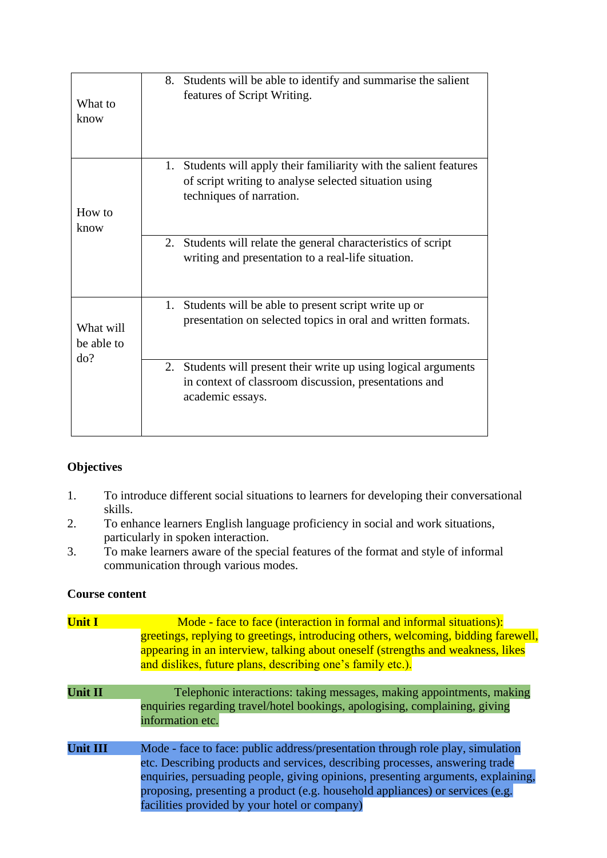| What to<br>know                | Students will be able to identify and summarise the salient<br>8.<br>features of Script Writing.                                                           |
|--------------------------------|------------------------------------------------------------------------------------------------------------------------------------------------------------|
| How to<br>know                 | Students will apply their familiarity with the salient features<br>1.<br>of script writing to analyse selected situation using<br>techniques of narration. |
|                                | 2. Students will relate the general characteristics of script<br>writing and presentation to a real-life situation.                                        |
| What will<br>be able to<br>do? | Students will be able to present script write up or<br>1.<br>presentation on selected topics in oral and written formats.                                  |
|                                | 2. Students will present their write up using logical arguments<br>in context of classroom discussion, presentations and<br>academic essays.               |

## **Objectives**

- 1. To introduce different social situations to learners for developing their conversational skills.
- 2. To enhance learners English language proficiency in social and work situations, particularly in spoken interaction.
- 3. To make learners aware of the special features of the format and style of informal communication through various modes.

### **Course content**

| <b>Unit I</b>   | Mode - face to face (interaction in formal and informal situations):<br>greetings, replying to greetings, introducing others, welcoming, bidding farewell,<br>appearing in an interview, talking about oneself (strengths and weakness, likes<br>and dislikes, future plans, describing one's family etc.).                                                                          |
|-----------------|--------------------------------------------------------------------------------------------------------------------------------------------------------------------------------------------------------------------------------------------------------------------------------------------------------------------------------------------------------------------------------------|
| <b>Unit II</b>  | Telephonic interactions: taking messages, making appointments, making<br>enquiries regarding travel/hotel bookings, apologising, complaining, giving<br>information etc.                                                                                                                                                                                                             |
| <b>Unit III</b> | Mode - face to face: public address/presentation through role play, simulation<br>etc. Describing products and services, describing processes, answering trade<br>enquiries, persuading people, giving opinions, presenting arguments, explaining,<br>proposing, presenting a product (e.g. household appliances) or services (e.g.<br>facilities provided by your hotel or company) |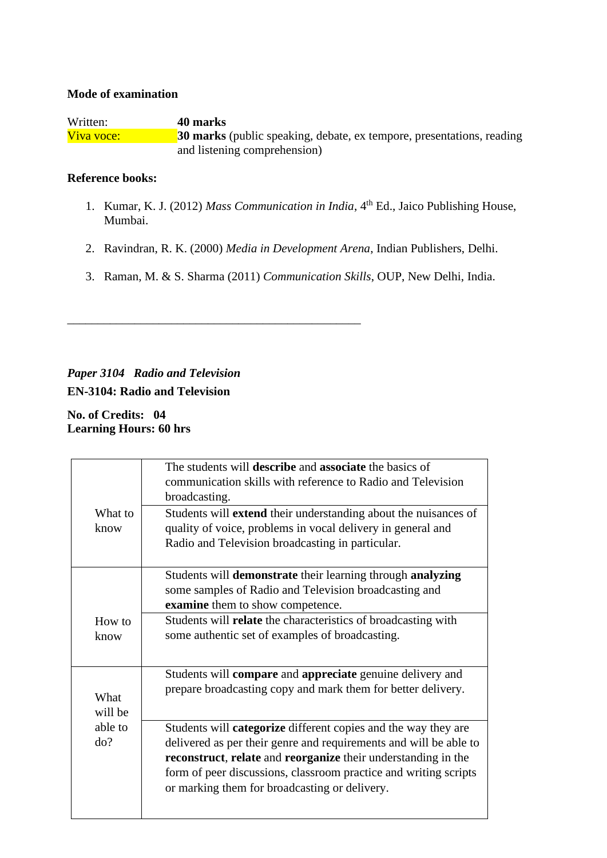#### **Mode of examination**

Written: **40 marks** Viva voce: **30 marks** (public speaking, debate, ex tempore, presentations, reading and listening comprehension)

#### **Reference books:**

- 1. Kumar, K. J. (2012) *Mass Communication in India*, 4<sup>th</sup> Ed., Jaico Publishing House, Mumbai.
- 2. Ravindran, R. K. (2000) *Media in Development Arena*, Indian Publishers, Delhi.
- 3. Raman, M. & S. Sharma (2011) *Communication Skills*, OUP, New Delhi, India.

## *Paper 3104 Radio and Television* **EN-3104: Radio and Television**

\_\_\_\_\_\_\_\_\_\_\_\_\_\_\_\_\_\_\_\_\_\_\_\_\_\_\_\_\_\_\_\_\_\_\_\_\_\_\_\_\_\_\_\_\_\_\_\_

**No. of Credits: 04 Learning Hours: 60 hrs**

| What to         | The students will <b>describe</b> and <b>associate</b> the basics of<br>communication skills with reference to Radio and Television<br>broadcasting.<br>Students will <b>extend</b> their understanding about the nuisances of                                                                                                   |
|-----------------|----------------------------------------------------------------------------------------------------------------------------------------------------------------------------------------------------------------------------------------------------------------------------------------------------------------------------------|
| know            | quality of voice, problems in vocal delivery in general and<br>Radio and Television broadcasting in particular.                                                                                                                                                                                                                  |
|                 | Students will demonstrate their learning through analyzing<br>some samples of Radio and Television broadcasting and<br>examine them to show competence.                                                                                                                                                                          |
| How to<br>know  | Students will relate the characteristics of broadcasting with<br>some authentic set of examples of broadcasting.                                                                                                                                                                                                                 |
| What<br>will be | Students will compare and appreciate genuine delivery and<br>prepare broadcasting copy and mark them for better delivery.                                                                                                                                                                                                        |
| able to<br>do?  | Students will <b>categorize</b> different copies and the way they are<br>delivered as per their genre and requirements and will be able to<br>reconstruct, relate and reorganize their understanding in the<br>form of peer discussions, classroom practice and writing scripts<br>or marking them for broadcasting or delivery. |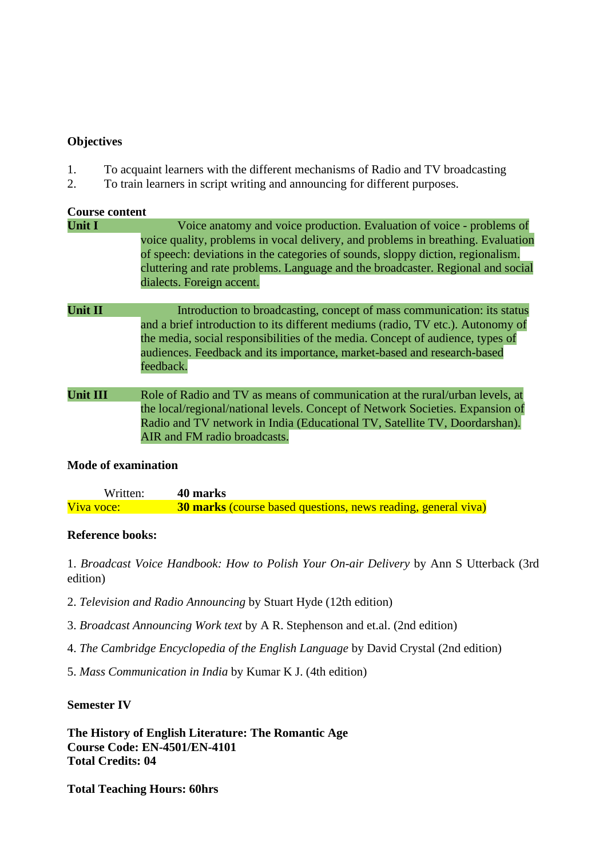#### **Objectives**

- 1. To acquaint learners with the different mechanisms of Radio and TV broadcasting
- 2. To train learners in script writing and announcing for different purposes.

## **Course content Unit I** Voice anatomy and voice production. Evaluation of voice - problems of voice quality, problems in vocal delivery, and problems in breathing. Evaluation of speech: deviations in the categories of sounds, sloppy diction, regionalism. cluttering and rate problems. Language and the broadcaster. Regional and social dialects. Foreign accent. **Unit II** Introduction to broadcasting, concept of mass communication: its status and a brief introduction to its different mediums (radio, TV etc.). Autonomy of the media, social responsibilities of the media. Concept of audience, types of audiences. Feedback and its importance, market-based and research-based feedback. **Unit III** Role of Radio and TV as means of communication at the rural/urban levels, at the local/regional/national levels. Concept of Network Societies. Expansion of Radio and TV network in India (Educational TV, Satellite TV, Doordarshan). AIR and FM radio broadcasts.

### **Mode of examination**

| Written:   | 40 marks                                                             |
|------------|----------------------------------------------------------------------|
| Viva voce: | <b>30 marks</b> (course based questions, news reading, general viva) |

### **Reference books:**

1. *Broadcast Voice Handbook: How to Polish Your On-air Delivery* by Ann S Utterback (3rd edition)

- 2. *Television and Radio Announcing* by Stuart Hyde (12th edition)
- 3. *Broadcast Announcing Work text* by A R. Stephenson and et.al. (2nd edition)
- 4. *The Cambridge Encyclopedia of the English Language* by David Crystal (2nd edition)
- 5. *Mass Communication in India* by Kumar K J. (4th edition)

#### **Semester IV**

**The History of English Literature: The Romantic Age Course Code: EN-4501/EN-4101 Total Credits: 04**

**Total Teaching Hours: 60hrs**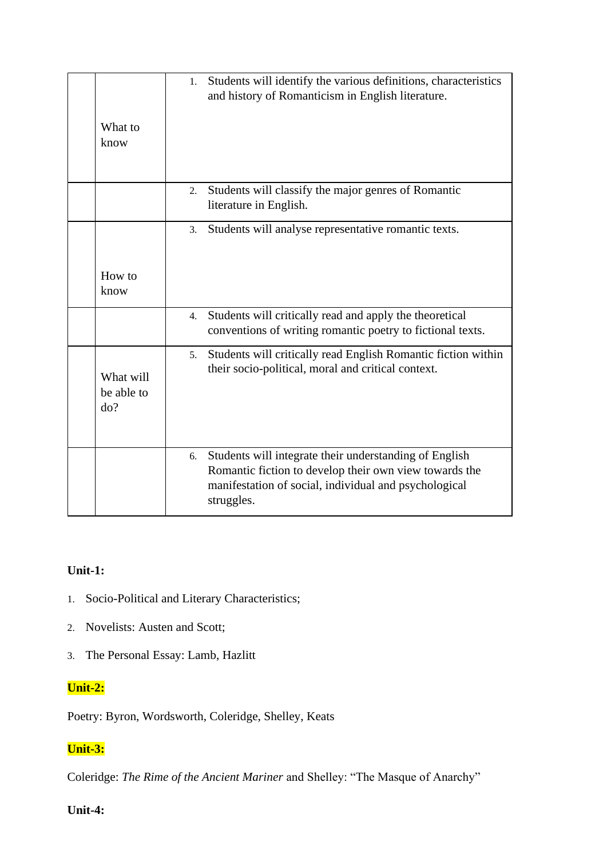| What to<br>know                | 1. | Students will identify the various definitions, characteristics<br>and history of Romanticism in English literature.                                                                    |
|--------------------------------|----|-----------------------------------------------------------------------------------------------------------------------------------------------------------------------------------------|
|                                | 2. | Students will classify the major genres of Romantic<br>literature in English.                                                                                                           |
| How to<br>know                 | 3. | Students will analyse representative romantic texts.                                                                                                                                    |
|                                | 4. | Students will critically read and apply the theoretical<br>conventions of writing romantic poetry to fictional texts.                                                                   |
| What will<br>be able to<br>do? | 5. | Students will critically read English Romantic fiction within<br>their socio-political, moral and critical context.                                                                     |
|                                | 6. | Students will integrate their understanding of English<br>Romantic fiction to develop their own view towards the<br>manifestation of social, individual and psychological<br>struggles. |

## **Unit-1:**

- 1. Socio-Political and Literary Characteristics;
- 2. Novelists: Austen and Scott;
- 3. The Personal Essay: Lamb, Hazlitt

## **Unit-2:**

Poetry: Byron, Wordsworth, Coleridge, Shelley, Keats

## **Unit-3:**

Coleridge: *The Rime of the Ancient Mariner* and Shelley: "The Masque of Anarchy"

## **Unit-4:**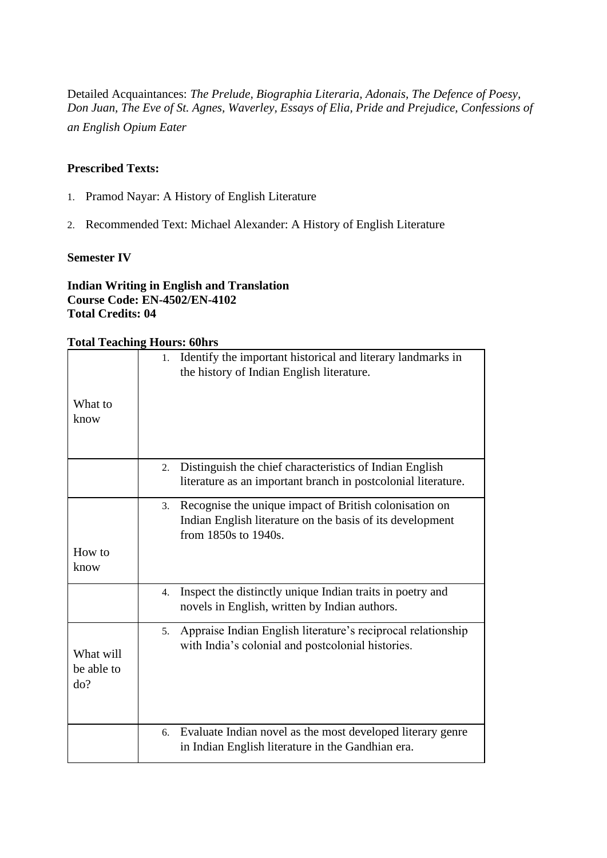Detailed Acquaintances: *The Prelude, Biographia Literaria, Adonais, The Defence of Poesy, Don Juan, The Eve of St. Agnes, Waverley, Essays of Elia, Pride and Prejudice, Confessions of an English Opium Eater*

### **Prescribed Texts:**

- 1. Pramod Nayar: A History of English Literature
- 2. Recommended Text: Michael Alexander: A History of English Literature

#### **Semester IV**

#### **Indian Writing in English and Translation Course Code: EN-4502/EN-4102 Total Credits: 04**

## **Total Teaching Hours: 60hrs**

|                                | TTOMID, AOMID                                                                                                                                     |
|--------------------------------|---------------------------------------------------------------------------------------------------------------------------------------------------|
|                                | Identify the important historical and literary landmarks in<br>1.<br>the history of Indian English literature.                                    |
| What to<br>know                |                                                                                                                                                   |
|                                | Distinguish the chief characteristics of Indian English<br>2.<br>literature as an important branch in postcolonial literature.                    |
|                                | Recognise the unique impact of British colonisation on<br>3.<br>Indian English literature on the basis of its development<br>from 1850s to 1940s. |
| How to<br>know                 |                                                                                                                                                   |
|                                | Inspect the distinctly unique Indian traits in poetry and<br>4.<br>novels in English, written by Indian authors.                                  |
| What will<br>be able to<br>do? | Appraise Indian English literature's reciprocal relationship<br>5.<br>with India's colonial and postcolonial histories.                           |
|                                | Evaluate Indian novel as the most developed literary genre<br>6.<br>in Indian English literature in the Gandhian era.                             |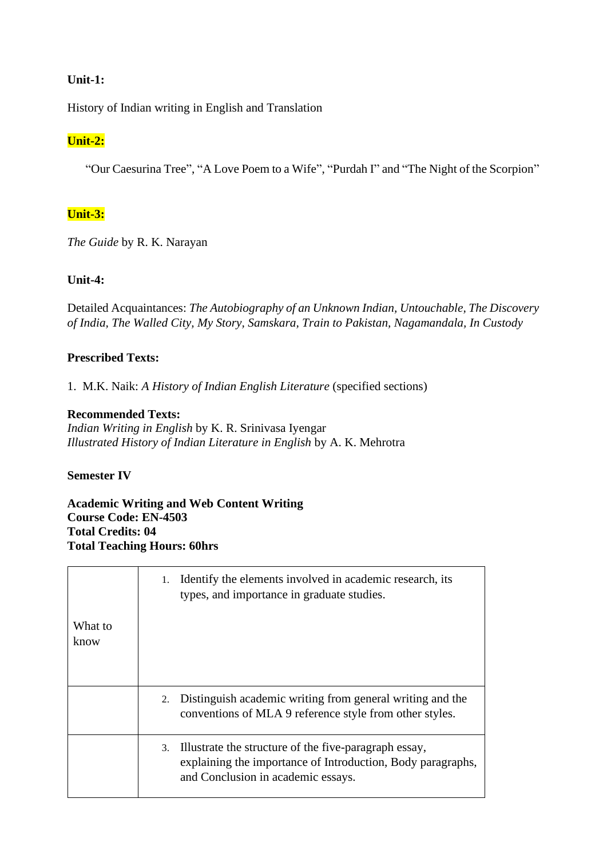#### **Unit-1:**

History of Indian writing in English and Translation

## **Unit-2:**

"Our Caesurina Tree", "A Love Poem to a Wife", "Purdah I" and "The Night of the Scorpion"

## **Unit-3:**

*The Guide* by R. K. Narayan

### **Unit-4:**

Detailed Acquaintances: *The Autobiography of an Unknown Indian, Untouchable, The Discovery of India, The Walled City, My Story, Samskara, Train to Pakistan, Nagamandala, In Custody*

#### **Prescribed Texts:**

1. M.K. Naik: *A History of Indian English Literature* (specified sections)

#### **Recommended Texts:**

*Indian Writing in English* by K. R. Srinivasa Iyengar *Illustrated History of Indian Literature in English* by A. K. Mehrotra

#### **Semester IV**

**Academic Writing and Web Content Writing Course Code: EN-4503 Total Credits: 04 Total Teaching Hours: 60hrs**

| What to<br>know | 1. Identify the elements involved in academic research, its<br>types, and importance in graduate studies.                                                     |
|-----------------|---------------------------------------------------------------------------------------------------------------------------------------------------------------|
|                 | 2. Distinguish academic writing from general writing and the<br>conventions of MLA 9 reference style from other styles.                                       |
|                 | 3. Illustrate the structure of the five-paragraph essay,<br>explaining the importance of Introduction, Body paragraphs,<br>and Conclusion in academic essays. |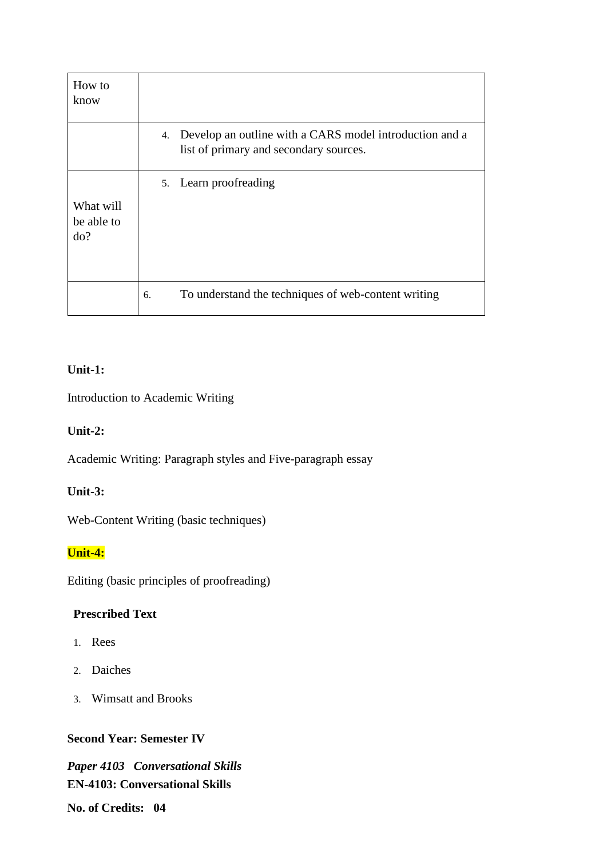| How to<br>know                 |                                                                                                      |
|--------------------------------|------------------------------------------------------------------------------------------------------|
|                                | 4. Develop an outline with a CARS model introduction and a<br>list of primary and secondary sources. |
| What will<br>be able to<br>do? | 5. Learn proofreading                                                                                |
|                                | To understand the techniques of web-content writing<br>6.                                            |

## **Unit-1:**

Introduction to Academic Writing

## **Unit-2:**

Academic Writing: Paragraph styles and Five-paragraph essay

## **Unit-3:**

Web-Content Writing (basic techniques)

## **Unit-4:**

Editing (basic principles of proofreading)

## **Prescribed Text**

- 1. Rees
- 2. Daiches
- 3. Wimsatt and Brooks

## **Second Year: Semester IV**

*Paper 4103 Conversational Skills* **EN-4103: Conversational Skills No. of Credits: 04**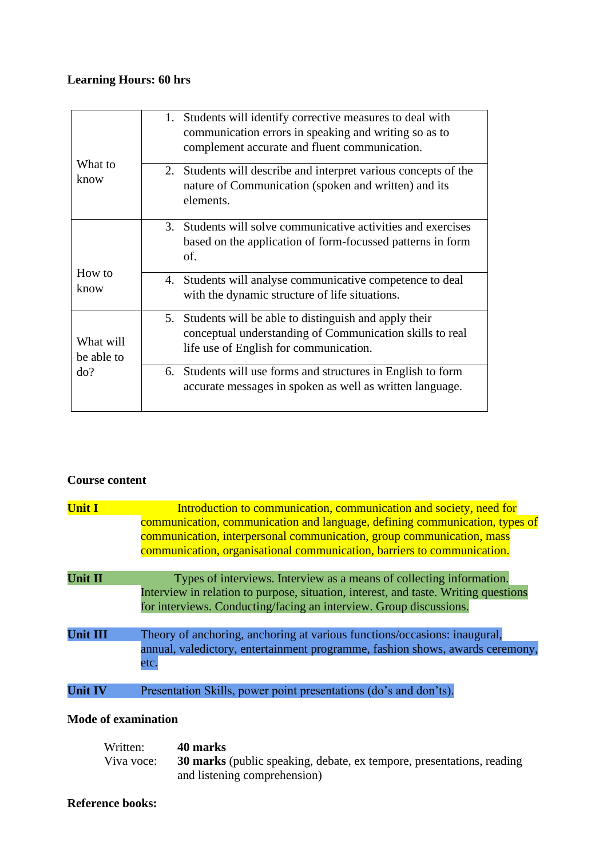## **Learning Hours: 60 hrs**

| What to<br>know                | 1. Students will identify corrective measures to deal with<br>communication errors in speaking and writing so as to<br>complement accurate and fluent communication. |
|--------------------------------|----------------------------------------------------------------------------------------------------------------------------------------------------------------------|
|                                | 2. Students will describe and interpret various concepts of the<br>nature of Communication (spoken and written) and its<br>elements.                                 |
|                                | 3. Students will solve communicative activities and exercises<br>based on the application of form-focussed patterns in form<br>of.                                   |
| How to<br>know                 | 4. Students will analyse communicative competence to deal<br>with the dynamic structure of life situations.                                                          |
| What will<br>be able to<br>do? | 5. Students will be able to distinguish and apply their<br>conceptual understanding of Communication skills to real<br>life use of English for communication.        |
|                                | 6. Students will use forms and structures in English to form<br>accurate messages in spoken as well as written language.                                             |

## **Course content**

| <b>Unit I</b>   | Introduction to communication, communication and society, need for<br>communication, communication and language, defining communication, types of<br>communication, interpersonal communication, group communication, mass<br>communication, organisational communication, barriers to communication. |
|-----------------|-------------------------------------------------------------------------------------------------------------------------------------------------------------------------------------------------------------------------------------------------------------------------------------------------------|
| <b>Unit II</b>  | Types of interviews. Interview as a means of collecting information.<br>Interview in relation to purpose, situation, interest, and taste. Writing questions<br>for interviews. Conducting/facing an interview. Group discussions.                                                                     |
| <b>Unit III</b> | Theory of anchoring, anchoring at various functions/occasions: inaugural,<br>annual, valedictory, entertainment programme, fashion shows, awards ceremony,<br>etc.                                                                                                                                    |
| <b>Unit IV</b>  | Presentation Skills, power point presentations (do's and don'ts).                                                                                                                                                                                                                                     |

## **Mode of examination**

| Written:   | 40 marks                                                                     |
|------------|------------------------------------------------------------------------------|
| Viva voce: | <b>30 marks</b> (public speaking, debate, ex tempore, presentations, reading |
|            | and listening comprehension)                                                 |

## **Reference books:**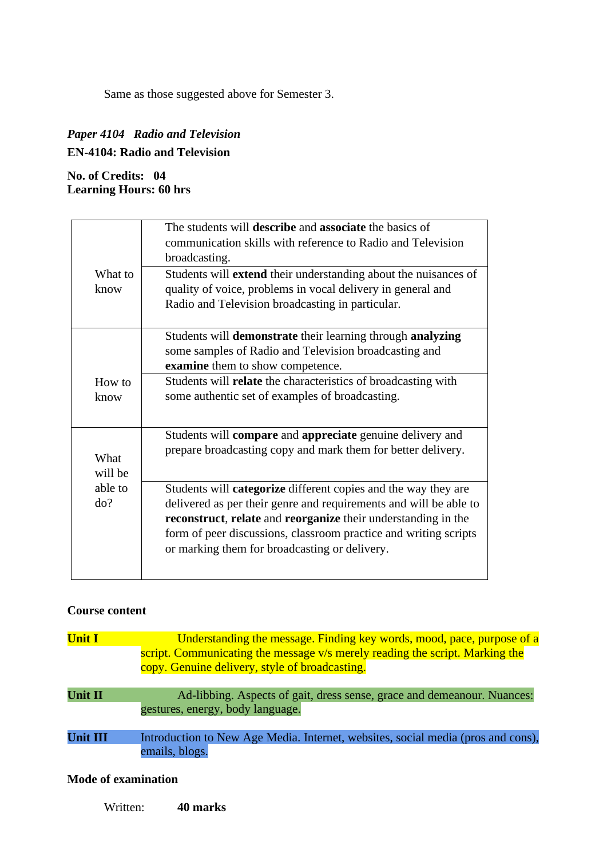Same as those suggested above for Semester 3.

## *Paper 4104 Radio and Television* **EN-4104: Radio and Television**

## **No. of Credits: 04 Learning Hours: 60 hrs**

|         | The students will <b>describe</b> and <b>associate</b> the basics of                                                                       |
|---------|--------------------------------------------------------------------------------------------------------------------------------------------|
|         | communication skills with reference to Radio and Television                                                                                |
|         | broadcasting.                                                                                                                              |
| What to | Students will <b>extend</b> their understanding about the nuisances of                                                                     |
| know    | quality of voice, problems in vocal delivery in general and                                                                                |
|         | Radio and Television broadcasting in particular.                                                                                           |
|         |                                                                                                                                            |
|         | Students will demonstrate their learning through analyzing                                                                                 |
|         | some samples of Radio and Television broadcasting and                                                                                      |
|         | examine them to show competence.                                                                                                           |
| How to  | Students will relate the characteristics of broadcasting with                                                                              |
| know    | some authentic set of examples of broadcasting.                                                                                            |
|         |                                                                                                                                            |
|         | Students will <b>compare</b> and <b>appreciate</b> genuine delivery and                                                                    |
| What    | prepare broadcasting copy and mark them for better delivery.                                                                               |
| will be |                                                                                                                                            |
| able to |                                                                                                                                            |
| do?     | Students will <b>categorize</b> different copies and the way they are<br>delivered as per their genre and requirements and will be able to |
|         | reconstruct, relate and reorganize their understanding in the                                                                              |
|         | form of peer discussions, classroom practice and writing scripts                                                                           |
|         | or marking them for broadcasting or delivery.                                                                                              |
|         |                                                                                                                                            |
|         |                                                                                                                                            |

## **Course content**

| <b>Unit I</b>   | Understanding the message. Finding key words, mood, pace, purpose of a<br>script. Communicating the message v/s merely reading the script. Marking the<br>copy. Genuine delivery, style of broadcasting. |  |  |  |
|-----------------|----------------------------------------------------------------------------------------------------------------------------------------------------------------------------------------------------------|--|--|--|
| <b>Unit II</b>  | Ad-libbing. Aspects of gait, dress sense, grace and demeanour. Nuances:<br>gestures, energy, body language.                                                                                              |  |  |  |
| <b>Unit III</b> | Introduction to New Age Media. Internet, websites, social media (pros and cons),<br>emails, blogs.                                                                                                       |  |  |  |

## **Mode of examination**

Written: **40 marks**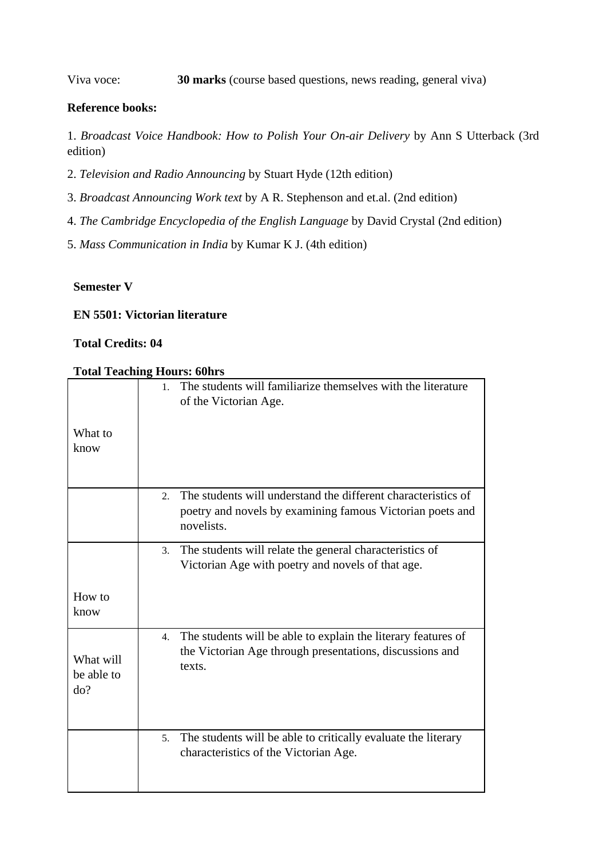Viva voce: **30 marks** (course based questions, news reading, general viva)

## **Reference books:**

1. *Broadcast Voice Handbook: How to Polish Your On-air Delivery* by Ann S Utterback (3rd edition)

- 2. *Television and Radio Announcing* by Stuart Hyde (12th edition)
- 3. *Broadcast Announcing Work text* by A R. Stephenson and et.al. (2nd edition)
- 4. *The Cambridge Encyclopedia of the English Language* by David Crystal (2nd edition)
- 5. *Mass Communication in India* by Kumar K J. (4th edition)

#### **Semester V**

### **EN 5501: Victorian literature**

## **Total Credits: 04**

#### **Total Teaching Hours: 60hrs**

|                   | The students will familiarize themselves with the literature<br>1 <sub>1</sub><br>of the Victorian Age.                                       |
|-------------------|-----------------------------------------------------------------------------------------------------------------------------------------------|
| What to           |                                                                                                                                               |
| know              |                                                                                                                                               |
|                   |                                                                                                                                               |
|                   | The students will understand the different characteristics of<br>$2^{1}$                                                                      |
|                   | poetry and novels by examining famous Victorian poets and<br>novelists.                                                                       |
|                   | The students will relate the general characteristics of<br>3.                                                                                 |
|                   | Victorian Age with poetry and novels of that age.                                                                                             |
| How to<br>know    |                                                                                                                                               |
|                   |                                                                                                                                               |
| What will         | The students will be able to explain the literary features of<br>$\overline{4}$ .<br>the Victorian Age through presentations, discussions and |
| be able to<br>do? | texts.                                                                                                                                        |
|                   |                                                                                                                                               |
|                   | The students will be able to critically evaluate the literary<br>5.                                                                           |
|                   | characteristics of the Victorian Age.                                                                                                         |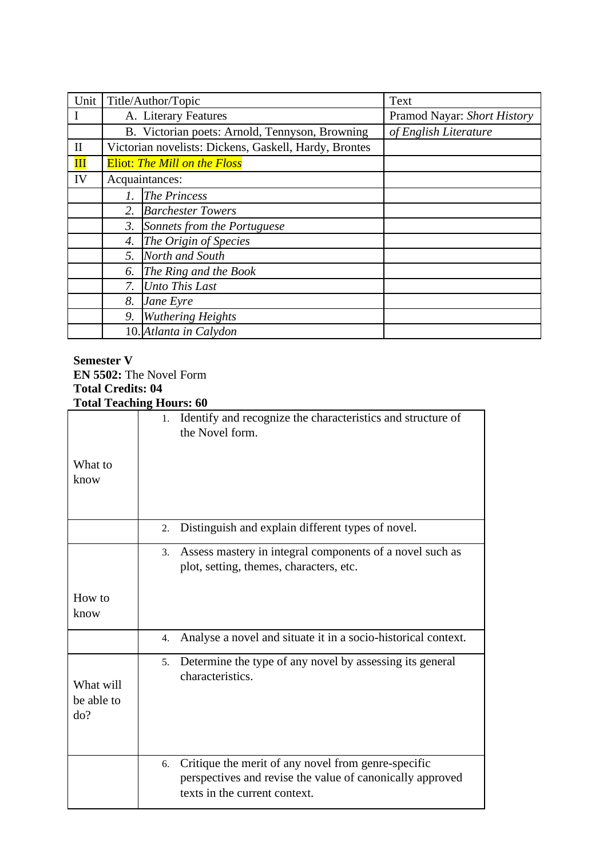| Unit         |                                     | Title/Author/Topic                                    | Text                        |  |  |  |
|--------------|-------------------------------------|-------------------------------------------------------|-----------------------------|--|--|--|
|              |                                     | A. Literary Features                                  | Pramod Nayar: Short History |  |  |  |
|              |                                     | B. Victorian poets: Arnold, Tennyson, Browning        | of English Literature       |  |  |  |
| $\mathbf H$  |                                     | Victorian novelists: Dickens, Gaskell, Hardy, Brontes |                             |  |  |  |
| $\mathbf{I}$ | <b>Eliot: The Mill on the Floss</b> |                                                       |                             |  |  |  |
| IV           |                                     | Acquaintances:                                        |                             |  |  |  |
|              | 1.                                  | <b>The Princess</b>                                   |                             |  |  |  |
|              | 2.                                  | <b>Barchester Towers</b>                              |                             |  |  |  |
|              | 3.                                  | Sonnets from the Portuguese                           |                             |  |  |  |
|              | 4.                                  | The Origin of Species                                 |                             |  |  |  |
|              | 5.                                  | North and South                                       |                             |  |  |  |
|              | 6.                                  | The Ring and the Book                                 |                             |  |  |  |
|              | 7.                                  | Unto This Last                                        |                             |  |  |  |
|              | 8.                                  | Jane Eyre                                             |                             |  |  |  |
|              | 9.                                  | <b>Wuthering Heights</b>                              |                             |  |  |  |
|              |                                     | 10. Atlanta in Calydon                                |                             |  |  |  |

## **Semester V EN 5502:** The Novel Form **Total Credits: 04 Total Teaching Hours: 60**

|                                | TORIL LEACHING HOULE: OU                                                                                                                                |
|--------------------------------|---------------------------------------------------------------------------------------------------------------------------------------------------------|
| What to<br>know                | Identify and recognize the characteristics and structure of<br>1.<br>the Novel form.                                                                    |
|                                | Distinguish and explain different types of novel.<br>2.                                                                                                 |
|                                | Assess mastery in integral components of a novel such as<br>3.<br>plot, setting, themes, characters, etc.                                               |
| How to<br>know                 |                                                                                                                                                         |
|                                | Analyse a novel and situate it in a socio-historical context.<br>4.                                                                                     |
| What will<br>be able to<br>do? | Determine the type of any novel by assessing its general<br>5 <sub>1</sub><br>characteristics.                                                          |
|                                | Critique the merit of any novel from genre-specific<br>6.<br>perspectives and revise the value of canonically approved<br>texts in the current context. |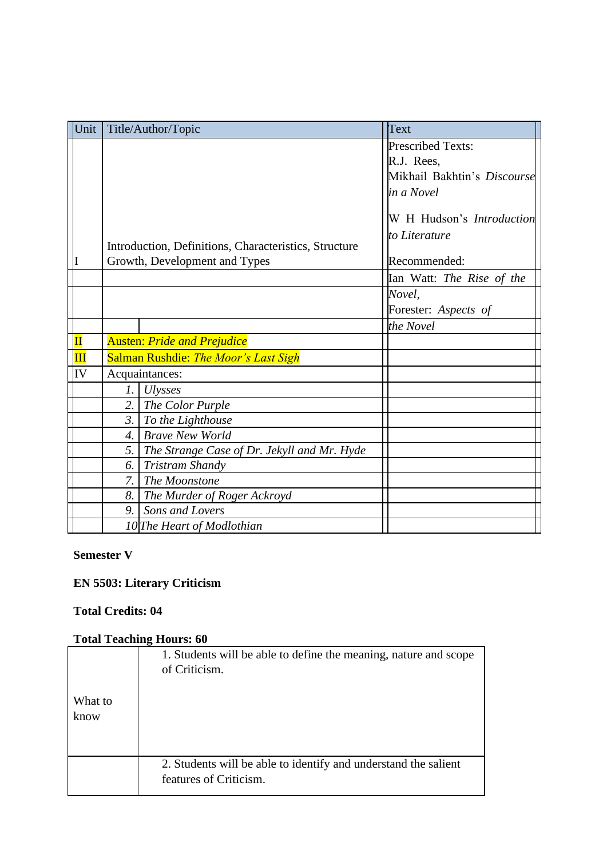| Unit                     |                  | Title/Author/Topic                                    | Text                        |
|--------------------------|------------------|-------------------------------------------------------|-----------------------------|
|                          |                  |                                                       | <b>Prescribed Texts:</b>    |
|                          |                  |                                                       | R.J. Rees,                  |
|                          |                  |                                                       | Mikhail Bakhtin's Discourse |
|                          |                  |                                                       | in a Novel                  |
|                          |                  |                                                       | W H Hudson's Introduction   |
|                          |                  |                                                       | to Literature               |
|                          |                  | Introduction, Definitions, Characteristics, Structure |                             |
|                          |                  | Growth, Development and Types                         | Recommended:                |
|                          |                  |                                                       | Ian Watt: The Rise of the   |
|                          |                  |                                                       | Novel,                      |
|                          |                  |                                                       | Forester: Aspects of        |
|                          |                  |                                                       | the Novel                   |
| $\overline{\mathbf{II}}$ |                  | <b>Austen: Pride and Prejudice</b>                    |                             |
| IЩ                       |                  | Salman Rushdie: The Moor's Last Sigh                  |                             |
| IV                       |                  | Acquaintances:                                        |                             |
|                          | $\mathfrak{1}.$  | <b>Ulysses</b>                                        |                             |
|                          | 2.               | The Color Purple                                      |                             |
|                          | 3.               | To the Lighthouse                                     |                             |
|                          | $\overline{4}$ . | <b>Brave New World</b>                                |                             |
|                          | 5.               | The Strange Case of Dr. Jekyll and Mr. Hyde           |                             |
|                          | 6.               | Tristram Shandy                                       |                             |
|                          | 7.               | The Moonstone                                         |                             |
|                          | 8.               | The Murder of Roger Ackroyd                           |                             |
|                          |                  | 9. Sons and Lovers                                    |                             |
|                          |                  | 10 The Heart of Modlothian                            |                             |

## **EN 5503: Literary Criticism**

## **Total Credits: 04**

| What to | 1. Students will be able to define the meaning, nature and scope                          |
|---------|-------------------------------------------------------------------------------------------|
| know    | of Criticism.                                                                             |
|         | 2. Students will be able to identify and understand the salient<br>features of Criticism. |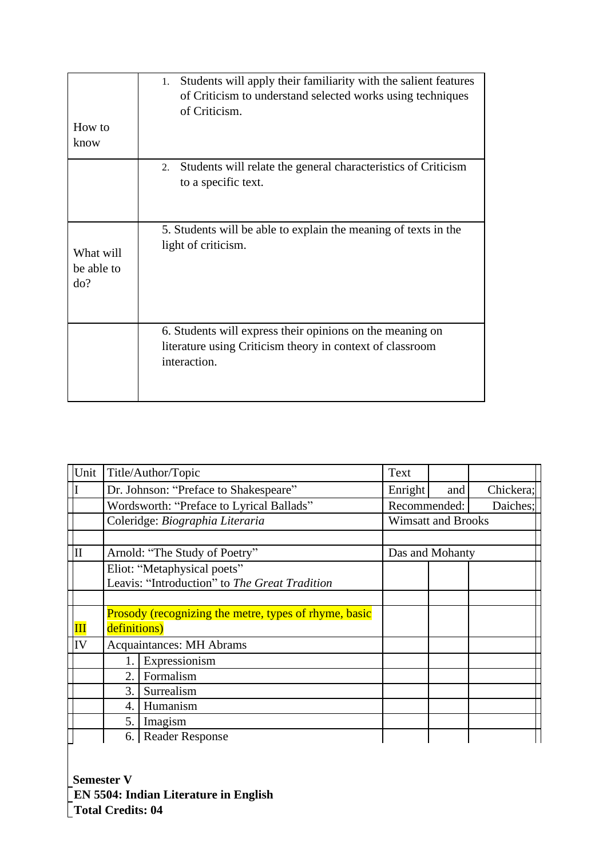| How to<br>know                 | Students will apply their familiarity with the salient features<br>1.<br>of Criticism to understand selected works using techniques<br>of Criticism. |
|--------------------------------|------------------------------------------------------------------------------------------------------------------------------------------------------|
|                                | Students will relate the general characteristics of Criticism<br>2.<br>to a specific text.                                                           |
| What will<br>be able to<br>do? | 5. Students will be able to explain the meaning of texts in the<br>light of criticism.                                                               |
|                                | 6. Students will express their opinions on the meaning on<br>literature using Criticism theory in context of classroom<br>interaction.               |

| Unit                   | Title/Author/Topic |                                                       |              |                           |           |
|------------------------|--------------------|-------------------------------------------------------|--------------|---------------------------|-----------|
|                        |                    | Dr. Johnson: "Preface to Shakespeare"                 | Enright      | and                       | Chickera; |
|                        |                    | Wordsworth: "Preface to Lyrical Ballads"              | Recommended: |                           | Daiches;  |
|                        |                    | Coleridge: Biographia Literaria                       |              | <b>Wimsatt and Brooks</b> |           |
|                        |                    |                                                       |              |                           |           |
| $\vert$ II             |                    | Arnold: "The Study of Poetry"                         |              | Das and Mohanty           |           |
|                        |                    | Eliot: "Metaphysical poets"                           |              |                           |           |
|                        |                    | Leavis: "Introduction" to The Great Tradition         |              |                           |           |
|                        |                    |                                                       |              |                           |           |
|                        |                    | Prosody (recognizing the metre, types of rhyme, basic |              |                           |           |
| $\mathbf{I}\mathbf{I}$ | definitions)       |                                                       |              |                           |           |
| IV                     |                    | <b>Acquaintances: MH Abrams</b>                       |              |                           |           |
|                        |                    | Expressionism                                         |              |                           |           |
|                        | 2.                 | Formalism                                             |              |                           |           |
|                        | 3.                 | Surrealism                                            |              |                           |           |
|                        | 4.                 | Humanism                                              |              |                           |           |
|                        | 5.                 | Imagism                                               |              |                           |           |
|                        |                    | 6. Reader Response                                    |              |                           |           |

**Semester V EN 5504: Indian Literature in English Total Credits: 04**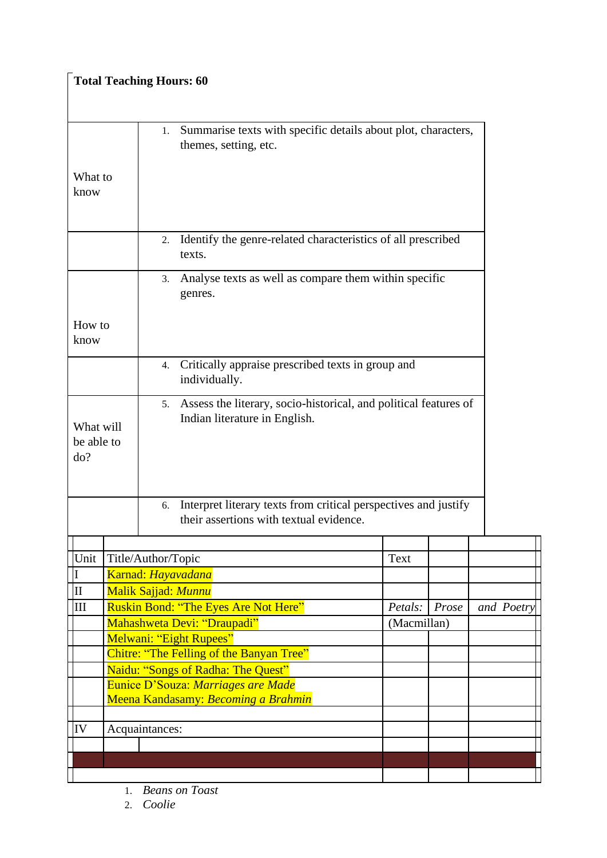| <b>Total Teaching Hours: 60</b> |                                |  |                    |                                                                                                            |             |       |            |
|---------------------------------|--------------------------------|--|--------------------|------------------------------------------------------------------------------------------------------------|-------------|-------|------------|
|                                 |                                |  |                    |                                                                                                            |             |       |            |
|                                 |                                |  | 1.                 | Summarise texts with specific details about plot, characters,<br>themes, setting, etc.                     |             |       |            |
|                                 | What to<br>know                |  |                    |                                                                                                            |             |       |            |
|                                 |                                |  | 2.                 | Identify the genre-related characteristics of all prescribed<br>texts.                                     |             |       |            |
|                                 |                                |  | 3.                 | Analyse texts as well as compare them within specific<br>genres.                                           |             |       |            |
|                                 | How to<br>know                 |  |                    |                                                                                                            |             |       |            |
|                                 |                                |  | 4.                 | Critically appraise prescribed texts in group and<br>individually.                                         |             |       |            |
|                                 | What will<br>be able to<br>do? |  | 5.                 | Assess the literary, socio-historical, and political features of<br>Indian literature in English.          |             |       |            |
|                                 |                                |  | 6.                 | Interpret literary texts from critical perspectives and justify<br>their assertions with textual evidence. |             |       |            |
|                                 | Unit                           |  |                    |                                                                                                            |             |       |            |
|                                 | I                              |  | Title/Author/Topic | Karnad: Hayavadana                                                                                         | Text        |       |            |
|                                 | $\mathbf{II}$                  |  |                    | <b>Malik Sajjad: Munnu</b>                                                                                 |             |       |            |
|                                 | III                            |  |                    | Ruskin Bond: "The Eyes Are Not Here"                                                                       | Petals:     | Prose | and Poetry |
|                                 |                                |  |                    | Mahashweta Devi: "Draupadi"                                                                                | (Macmillan) |       |            |
|                                 |                                |  |                    | Melwani: "Eight Rupees"                                                                                    |             |       |            |
|                                 |                                |  |                    | Chitre: "The Felling of the Banyan Tree"                                                                   |             |       |            |
|                                 |                                |  |                    | Naidu: "Songs of Radha: The Quest"                                                                         |             |       |            |
|                                 |                                |  |                    | Eunice D'Souza: Marriages are Made<br>Meena Kandasamy: Becoming a Brahmin                                  |             |       |            |
|                                 |                                |  |                    |                                                                                                            |             |       |            |
|                                 | IV                             |  | Acquaintances:     |                                                                                                            |             |       |            |
|                                 |                                |  |                    |                                                                                                            |             |       |            |
|                                 |                                |  |                    |                                                                                                            |             |       |            |
|                                 |                                |  |                    |                                                                                                            |             |       |            |

П

1. *Beans on Toast* 

2. *Coolie* 

 $\blacksquare$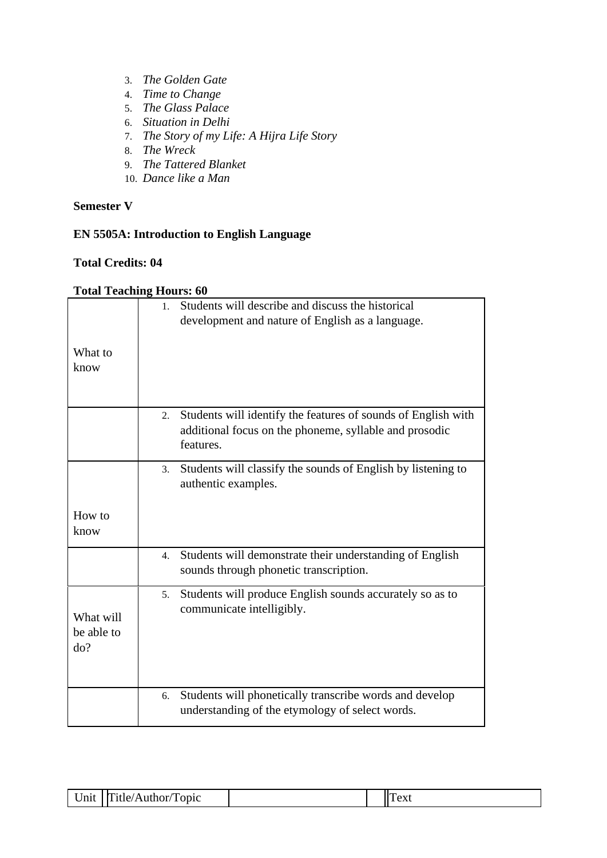- 3. *The Golden Gate*
- 4. *Time to Change*
- 5. *The Glass Palace*
- 6. *Situation in Delhi*
- 7. *The Story of my Life: A Hijra Life Story*
- 8. *The Wreck*
- 9. *The Tattered Blanket*
- 10. *Dance like a Man*

## **EN 5505A: Introduction to English Language**

### **Total Credits: 04**

|                                | Students will describe and discuss the historical<br>$1_{-}$<br>development and nature of English as a language.                           |
|--------------------------------|--------------------------------------------------------------------------------------------------------------------------------------------|
| What to<br>know                |                                                                                                                                            |
|                                | Students will identify the features of sounds of English with<br>2.<br>additional focus on the phoneme, syllable and prosodic<br>features. |
|                                | Students will classify the sounds of English by listening to<br>3.<br>authentic examples.                                                  |
| How to<br>know                 |                                                                                                                                            |
|                                | Students will demonstrate their understanding of English<br>4.<br>sounds through phonetic transcription.                                   |
| What will<br>be able to<br>do? | Students will produce English sounds accurately so as to<br>5.<br>communicate intelligibly.                                                |
|                                | Students will phonetically transcribe words and develop<br>6.<br>understanding of the etymology of select words.                           |

| $\cup$ nit | `itle/<br>opic<br>$c/A$ uthor | $\Delta V$<br>$\mathsf{V}\Lambda\mathsf{U}$ |
|------------|-------------------------------|---------------------------------------------|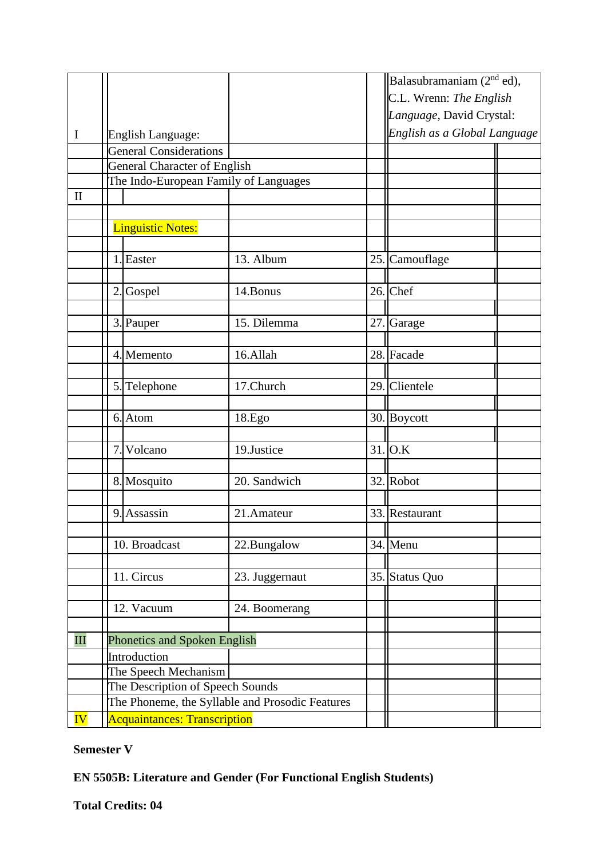|                          |                                       |                                                 |     | Balasubramaniam $(2nd$ ed),  |  |
|--------------------------|---------------------------------------|-------------------------------------------------|-----|------------------------------|--|
|                          |                                       |                                                 |     | C.L. Wrenn: The English      |  |
|                          |                                       |                                                 |     | Language, David Crystal:     |  |
| $\bf{I}$                 | English Language:                     |                                                 |     | English as a Global Language |  |
|                          | <b>General Considerations</b>         |                                                 |     |                              |  |
|                          | <b>General Character of English</b>   |                                                 |     |                              |  |
|                          | The Indo-European Family of Languages |                                                 |     |                              |  |
| $\mathbf{I}$             |                                       |                                                 |     |                              |  |
|                          |                                       |                                                 |     |                              |  |
|                          | <b>Linguistic Notes:</b>              |                                                 |     |                              |  |
|                          |                                       |                                                 |     |                              |  |
|                          | 1. Easter                             | 13. Album                                       | 25. | Camouflage                   |  |
|                          |                                       |                                                 |     |                              |  |
|                          | $\overline{2}$<br>Gospel              | 14.Bonus                                        |     | $26.$ Chef                   |  |
|                          |                                       |                                                 |     |                              |  |
|                          | 3. Pauper                             | 15. Dilemma                                     | 27. | Garage                       |  |
|                          |                                       |                                                 |     |                              |  |
|                          | 4. Memento                            | 16.Allah                                        |     | 28. Facade                   |  |
|                          |                                       |                                                 |     |                              |  |
|                          | 5. Telephone                          | 17. Church                                      |     | 29. Clientele                |  |
|                          |                                       |                                                 |     |                              |  |
|                          | 6. Atom                               | 18.Ego                                          |     | 30. Boycott                  |  |
|                          |                                       |                                                 |     |                              |  |
|                          | $\overline{7}$<br>Volcano             | 19.Justice                                      | 31. | O.K                          |  |
|                          |                                       |                                                 |     |                              |  |
|                          | 8. Mosquito                           | 20. Sandwich                                    | 32. | Robot                        |  |
|                          |                                       |                                                 |     |                              |  |
|                          | 9. Assassin                           | 21.Amateur                                      |     | 33. Restaurant               |  |
|                          |                                       |                                                 |     |                              |  |
|                          | 10. Broadcast                         | 22.Bungalow                                     |     | 34. Menu                     |  |
|                          | 11. Circus                            |                                                 |     |                              |  |
|                          |                                       | 23. Juggernaut                                  |     | 35. Status Quo               |  |
|                          | 12. Vacuum                            | 24. Boomerang                                   |     |                              |  |
|                          |                                       |                                                 |     |                              |  |
| $\mathbf{III}$           | Phonetics and Spoken English          |                                                 |     |                              |  |
|                          | Introduction                          |                                                 |     |                              |  |
|                          | The Speech Mechanism                  |                                                 |     |                              |  |
|                          | The Description of Speech Sounds      |                                                 |     |                              |  |
|                          |                                       | The Phoneme, the Syllable and Prosodic Features |     |                              |  |
| $\overline{\mathbf{IV}}$ |                                       |                                                 |     |                              |  |
|                          | <b>Acquaintances: Transcription</b>   |                                                 |     |                              |  |

## **EN 5505B: Literature and Gender (For Functional English Students)**

**Total Credits: 04**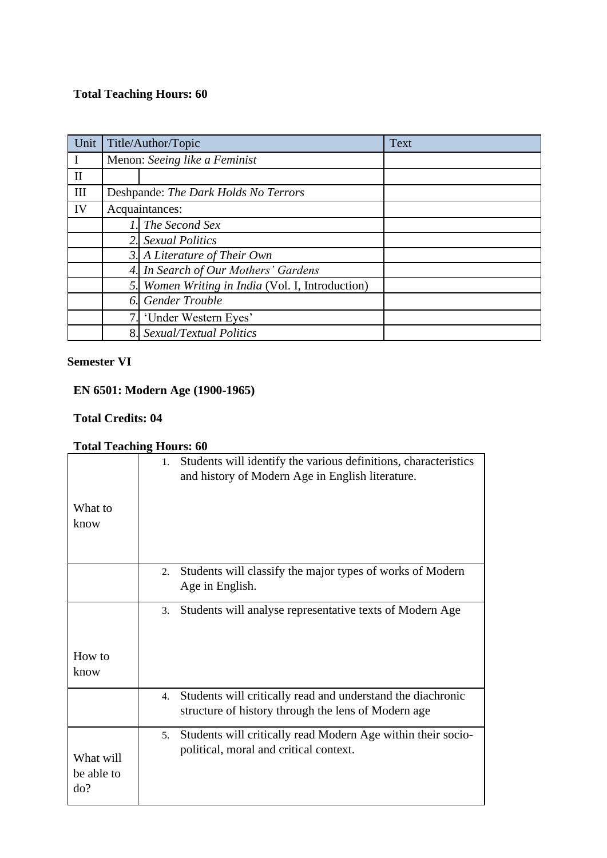## **Total Teaching Hours: 60**

|              | Unit Title/Author/Topic |                                               | <b>Text</b> |
|--------------|-------------------------|-----------------------------------------------|-------------|
| $\bf{I}$     |                         | Menon: Seeing like a Feminist                 |             |
| $\mathbf{I}$ |                         |                                               |             |
| III          |                         | Deshpande: The Dark Holds No Terrors          |             |
| IV           |                         | Acquaintances:                                |             |
|              |                         | The Second Sex                                |             |
|              | 2.1                     | <b>Sexual Politics</b>                        |             |
|              |                         | 3. A Literature of Their Own                  |             |
|              | 4.                      | In Search of Our Mothers' Gardens             |             |
|              | 5.                      | Women Writing in India (Vol. I, Introduction) |             |
|              | 6.                      | <b>Gender Trouble</b>                         |             |
|              | 7 <sub>1</sub>          | 'Under Western Eyes'                          |             |
|              | 8.                      | Sexual/Textual Politics                       |             |

#### **Semester VI**

# **EN 6501: Modern Age (1900-1965)**

#### **Total Credits: 04**

|                                | Tomi Turning Monts, oo                                                                                                    |
|--------------------------------|---------------------------------------------------------------------------------------------------------------------------|
| What to<br>know                | Students will identify the various definitions, characteristics<br>1.<br>and history of Modern Age in English literature. |
|                                |                                                                                                                           |
|                                | Students will classify the major types of works of Modern<br>2.<br>Age in English.                                        |
|                                | Students will analyse representative texts of Modern Age<br>3.                                                            |
| How to                         |                                                                                                                           |
| know                           |                                                                                                                           |
|                                | Students will critically read and understand the diachronic<br>4.<br>structure of history through the lens of Modern age  |
| What will<br>be able to<br>do? | Students will critically read Modern Age within their socio-<br>5.<br>political, moral and critical context.              |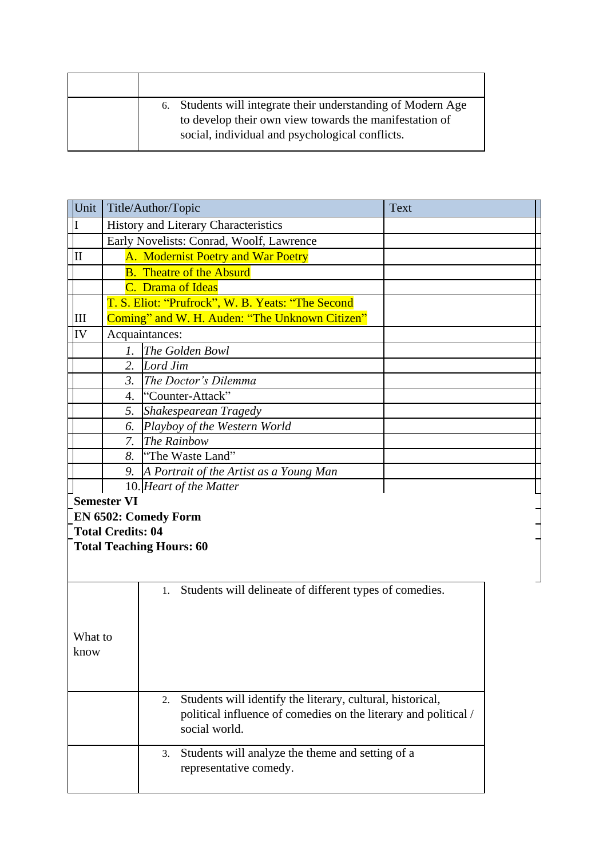| 6. Students will integrate their understanding of Modern Age<br>to develop their own view towards the manifestation of<br>social, individual and psychological conflicts. |
|---------------------------------------------------------------------------------------------------------------------------------------------------------------------------|

| Unit                                                            |                                                        | Title/Author/Topic                                               | <b>Text</b> |  |  |
|-----------------------------------------------------------------|--------------------------------------------------------|------------------------------------------------------------------|-------------|--|--|
| II                                                              |                                                        | History and Literary Characteristics                             |             |  |  |
|                                                                 |                                                        | Early Novelists: Conrad, Woolf, Lawrence                         |             |  |  |
| IІ                                                              |                                                        | A. Modernist Poetry and War Poetry                               |             |  |  |
|                                                                 |                                                        | <b>B.</b> Theatre of the Absurd                                  |             |  |  |
|                                                                 |                                                        | C. Drama of Ideas                                                |             |  |  |
|                                                                 |                                                        | T. S. Eliot: "Prufrock", W. B. Yeats: "The Second                |             |  |  |
| III                                                             |                                                        | Coming" and W. H. Auden: "The Unknown Citizen"                   |             |  |  |
| IV                                                              |                                                        | Acquaintances:                                                   |             |  |  |
|                                                                 | $\mathcal{I}$ .                                        | The Golden Bowl                                                  |             |  |  |
|                                                                 | 2.                                                     | Lord Jim                                                         |             |  |  |
|                                                                 | 3.                                                     | The Doctor's Dilemma                                             |             |  |  |
|                                                                 | 4.                                                     | "Counter-Attack"                                                 |             |  |  |
|                                                                 | 5.                                                     | Shakespearean Tragedy                                            |             |  |  |
|                                                                 | 6.                                                     | Playboy of the Western World                                     |             |  |  |
|                                                                 | 7.                                                     | The Rainbow                                                      |             |  |  |
|                                                                 | 8.                                                     | "The Waste Land"                                                 |             |  |  |
|                                                                 |                                                        | 9. A Portrait of the Artist as a Young Man                       |             |  |  |
|                                                                 | 10. Heart of the Matter                                |                                                                  |             |  |  |
|                                                                 | <b>Semester VI</b>                                     |                                                                  |             |  |  |
|                                                                 | <b>EN 6502: Comedy Form</b>                            |                                                                  |             |  |  |
| <b>Total Credits: 04</b>                                        |                                                        |                                                                  |             |  |  |
| <b>Total Teaching Hours: 60</b>                                 |                                                        |                                                                  |             |  |  |
|                                                                 |                                                        |                                                                  |             |  |  |
|                                                                 |                                                        |                                                                  |             |  |  |
|                                                                 |                                                        | Students will delineate of different types of comedies.<br>1.    |             |  |  |
|                                                                 |                                                        |                                                                  |             |  |  |
|                                                                 |                                                        |                                                                  |             |  |  |
| What to                                                         |                                                        |                                                                  |             |  |  |
| know                                                            |                                                        |                                                                  |             |  |  |
|                                                                 |                                                        |                                                                  |             |  |  |
|                                                                 |                                                        |                                                                  |             |  |  |
|                                                                 |                                                        | Students will identify the literary, cultural, historical,<br>2. |             |  |  |
| political influence of comedies on the literary and political / |                                                        |                                                                  |             |  |  |
|                                                                 | social world.                                          |                                                                  |             |  |  |
|                                                                 | Students will analyze the theme and setting of a<br>3. |                                                                  |             |  |  |
|                                                                 |                                                        | representative comedy.                                           |             |  |  |
|                                                                 |                                                        |                                                                  |             |  |  |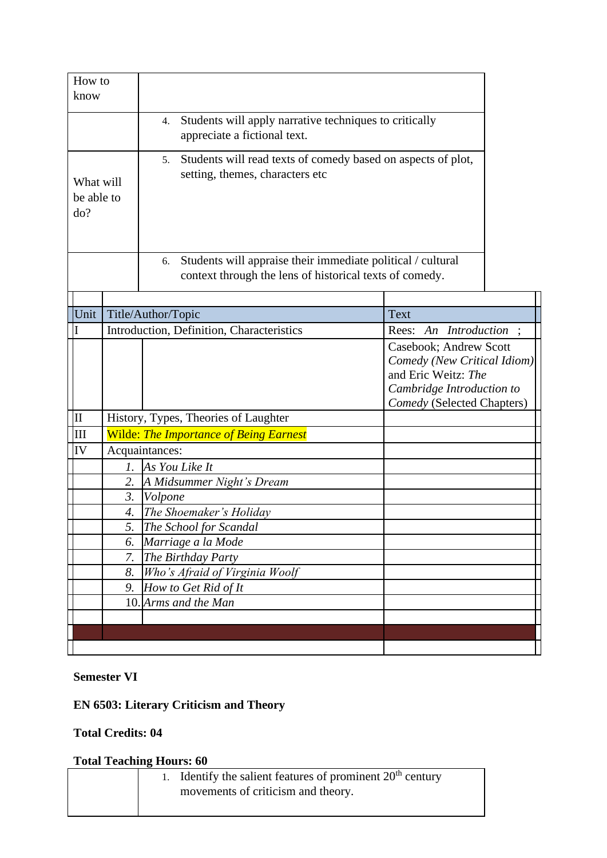| How to<br>know                                                                               |                  |                                                                                                                              |                                                                                                                                         |  |
|----------------------------------------------------------------------------------------------|------------------|------------------------------------------------------------------------------------------------------------------------------|-----------------------------------------------------------------------------------------------------------------------------------------|--|
|                                                                                              |                  |                                                                                                                              |                                                                                                                                         |  |
| Students will apply narrative techniques to critically<br>4.<br>appreciate a fictional text. |                  |                                                                                                                              |                                                                                                                                         |  |
| What will<br>be able to<br>do?                                                               |                  | Students will read texts of comedy based on aspects of plot,<br>5.<br>setting, themes, characters etc                        |                                                                                                                                         |  |
|                                                                                              |                  | Students will appraise their immediate political / cultural<br>6.<br>context through the lens of historical texts of comedy. |                                                                                                                                         |  |
|                                                                                              |                  |                                                                                                                              |                                                                                                                                         |  |
| Unit                                                                                         |                  | Title/Author/Topic                                                                                                           | Text                                                                                                                                    |  |
|                                                                                              |                  | Introduction, Definition, Characteristics                                                                                    | Rees: An Introduction ;                                                                                                                 |  |
|                                                                                              |                  |                                                                                                                              | Casebook; Andrew Scott<br>Comedy (New Critical Idiom)<br>and Eric Weitz: The<br>Cambridge Introduction to<br>Comedy (Selected Chapters) |  |
| II                                                                                           |                  | History, Types, Theories of Laughter                                                                                         |                                                                                                                                         |  |
| IШ                                                                                           |                  | <b>Wilde: The Importance of Being Earnest</b>                                                                                |                                                                                                                                         |  |
| IV                                                                                           |                  | Acquaintances:                                                                                                               |                                                                                                                                         |  |
|                                                                                              | 1.               | As You Like It                                                                                                               |                                                                                                                                         |  |
|                                                                                              | 2.               | A Midsummer Night's Dream                                                                                                    |                                                                                                                                         |  |
|                                                                                              | $\mathfrak{Z}$ . | Volpone                                                                                                                      |                                                                                                                                         |  |
|                                                                                              | 4.<br>5.         | The Shoemaker's Holiday<br>The School for Scandal                                                                            |                                                                                                                                         |  |
|                                                                                              | 6.               | Marriage a la Mode                                                                                                           |                                                                                                                                         |  |
|                                                                                              | 7.               | The Birthday Party                                                                                                           |                                                                                                                                         |  |
|                                                                                              | 8.               | Who's Afraid of Virginia Woolf                                                                                               |                                                                                                                                         |  |
|                                                                                              | 9.               | How to Get Rid of It                                                                                                         |                                                                                                                                         |  |
|                                                                                              | 10.              | Arms and the Man                                                                                                             |                                                                                                                                         |  |
|                                                                                              |                  |                                                                                                                              |                                                                                                                                         |  |
|                                                                                              |                  |                                                                                                                              |                                                                                                                                         |  |
|                                                                                              |                  |                                                                                                                              |                                                                                                                                         |  |

# **EN 6503: Literary Criticism and Theory**

**Total Credits: 04**

| 1. Identify the salient features of prominent $20th$ century |
|--------------------------------------------------------------|
| movements of criticism and theory.                           |
|                                                              |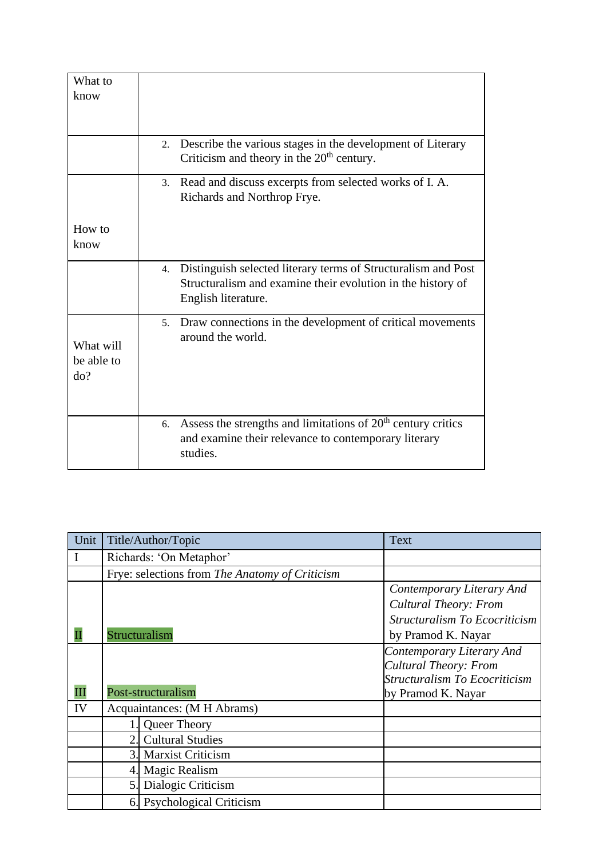| What to                        |                                                                                                                                                           |
|--------------------------------|-----------------------------------------------------------------------------------------------------------------------------------------------------------|
| know                           |                                                                                                                                                           |
|                                |                                                                                                                                                           |
|                                |                                                                                                                                                           |
|                                | Describe the various stages in the development of Literary<br>2.<br>Criticism and theory in the $20th$ century.                                           |
|                                | Read and discuss excerpts from selected works of I. A.<br>3.<br>Richards and Northrop Frye.                                                               |
| How to                         |                                                                                                                                                           |
| know                           |                                                                                                                                                           |
|                                |                                                                                                                                                           |
|                                | Distinguish selected literary terms of Structuralism and Post<br>4.<br>Structuralism and examine their evolution in the history of<br>English literature. |
| What will<br>be able to<br>do? | Draw connections in the development of critical movements<br>5.<br>around the world.                                                                      |
|                                | Assess the strengths and limitations of $20th$ century critics<br>6.<br>and examine their relevance to contemporary literary<br>studies.                  |

| Unit | Title/Author/Topic                             | <b>Text</b>                          |  |
|------|------------------------------------------------|--------------------------------------|--|
| I    | Richards: 'On Metaphor'                        |                                      |  |
|      | Frye: selections from The Anatomy of Criticism |                                      |  |
|      |                                                | Contemporary Literary And            |  |
|      |                                                | <b>Cultural Theory: From</b>         |  |
|      |                                                | Structuralism To Ecocriticism        |  |
|      | Structuralism                                  | by Pramod K. Nayar                   |  |
|      |                                                | Contemporary Literary And            |  |
|      |                                                | <b>Cultural Theory: From</b>         |  |
|      |                                                | <b>Structuralism To Ecocriticism</b> |  |
| Ш    | Post-structuralism                             | by Pramod K. Nayar                   |  |
| IV   | Acquaintances: (M H Abrams)                    |                                      |  |
|      | Queer Theory                                   |                                      |  |
|      | <b>Cultural Studies</b><br>2.                  |                                      |  |
|      | <b>Marxist Criticism</b>                       |                                      |  |
|      | Magic Realism<br>4.                            |                                      |  |
|      | Dialogic Criticism<br>5.                       |                                      |  |
|      | <b>Psychological Criticism</b><br>6.           |                                      |  |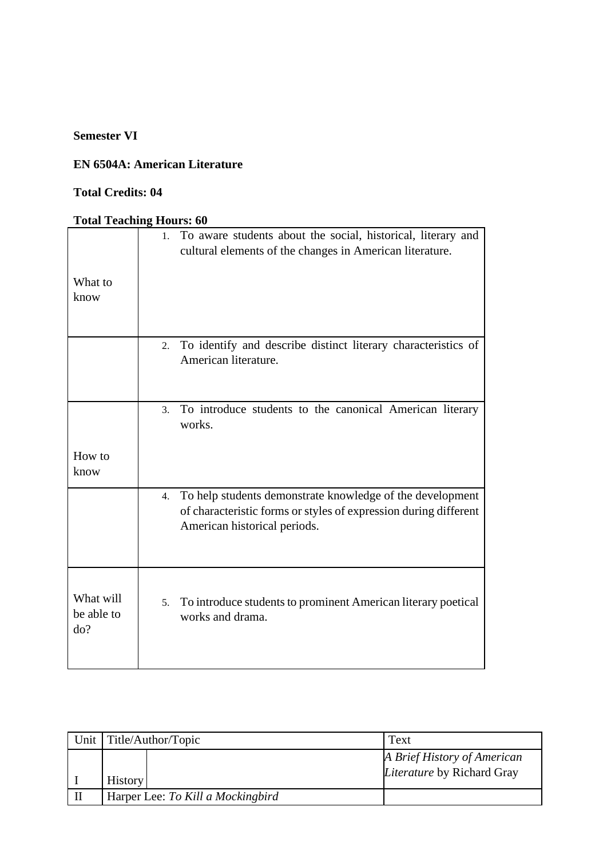## **EN 6504A: American Literature**

## **Total Credits: 04**

| What to<br>know                | To aware students about the social, historical, literary and<br>1.<br>cultural elements of the changes in American literature.                                      |
|--------------------------------|---------------------------------------------------------------------------------------------------------------------------------------------------------------------|
|                                | To identify and describe distinct literary characteristics of<br>2.<br>American literature.                                                                         |
|                                | To introduce students to the canonical American literary<br>3.<br>works.                                                                                            |
| How to<br>know                 |                                                                                                                                                                     |
|                                | To help students demonstrate knowledge of the development<br>4.<br>of characteristic forms or styles of expression during different<br>American historical periods. |
| What will<br>be able to<br>do? | To introduce students to prominent American literary poetical<br>5.<br>works and drama.                                                                             |

| Unit   Title/Author/Topic         | Text                                                             |
|-----------------------------------|------------------------------------------------------------------|
| <b>History</b>                    | A Brief History of American<br><i>Literature</i> by Richard Gray |
| Harper Lee: To Kill a Mockingbird |                                                                  |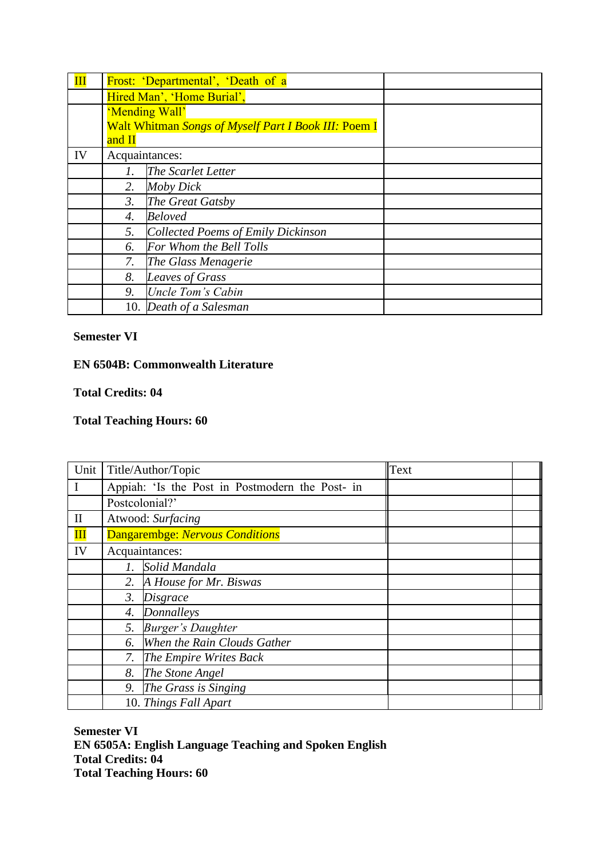| $\mathbf{III}$ |                            | Frost: 'Departmental', 'Death of a                          |  |
|----------------|----------------------------|-------------------------------------------------------------|--|
|                | Hired Man', 'Home Burial', |                                                             |  |
|                |                            | 'Mending Wall'                                              |  |
|                |                            | <b>Walt Whitman Songs of Myself Part I Book III: Poem I</b> |  |
|                | and II                     |                                                             |  |
| IV             | Acquaintances:             |                                                             |  |
|                | 1.                         | The Scarlet Letter                                          |  |
|                | 2.                         | Moby Dick                                                   |  |
|                | 3.                         | The Great Gatsby                                            |  |
|                | 4.                         | <b>Beloved</b>                                              |  |
|                | 5.                         | <b>Collected Poems of Emily Dickinson</b>                   |  |
|                | 6.                         | For Whom the Bell Tolls                                     |  |
|                | 7.                         | The Glass Menagerie                                         |  |
|                | 8.                         | <b>Leaves of Grass</b>                                      |  |
|                | 9.                         | Uncle Tom's Cabin                                           |  |
|                |                            | 10. Death of a Salesman                                     |  |

## **EN 6504B: Commonwealth Literature**

#### **Total Credits: 04**

## **Total Teaching Hours: 60**

| Unit           | Title/Author/Topic                              |                             | Text |  |
|----------------|-------------------------------------------------|-----------------------------|------|--|
| $\bf{I}$       | Appiah: 'Is the Post in Postmodern the Post- in |                             |      |  |
|                | Postcolonial?'                                  |                             |      |  |
| $\mathbf{I}$   | Atwood: Surfacing                               |                             |      |  |
| $\mathbf{III}$ | Dangarembge: Nervous Conditions                 |                             |      |  |
| IV             | Acquaintances:                                  |                             |      |  |
|                | 1.                                              | Solid Mandala               |      |  |
|                | 2.                                              | A House for Mr. Biswas      |      |  |
|                | 3.                                              | <i>Disgrace</i>             |      |  |
|                | 4.                                              | Donnalleys                  |      |  |
|                | 5.                                              | <b>Burger's Daughter</b>    |      |  |
|                | 6.                                              | When the Rain Clouds Gather |      |  |
|                | 7.                                              | The Empire Writes Back      |      |  |
|                | 8.                                              | The Stone Angel             |      |  |
|                | 9.                                              | The Grass is Singing        |      |  |
|                | 10. Things Fall Apart                           |                             |      |  |

**Semester VI EN 6505A: English Language Teaching and Spoken English Total Credits: 04 Total Teaching Hours: 60**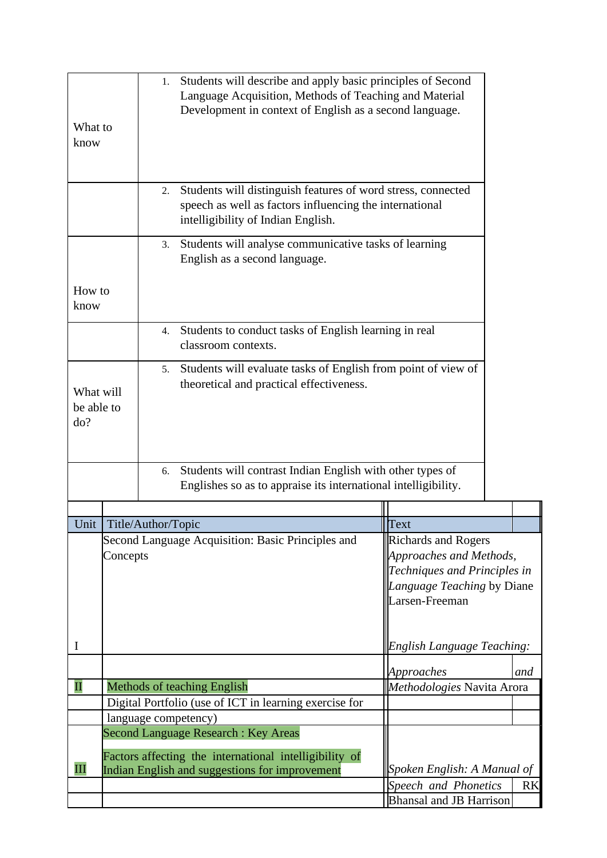| What to                        |                                                                                                          | 1.                        | Students will describe and apply basic principles of Second<br>Language Acquisition, Methods of Teaching and Material<br>Development in context of English as a second language. |                                |           |
|--------------------------------|----------------------------------------------------------------------------------------------------------|---------------------------|----------------------------------------------------------------------------------------------------------------------------------------------------------------------------------|--------------------------------|-----------|
| know                           |                                                                                                          |                           |                                                                                                                                                                                  |                                |           |
|                                |                                                                                                          | 2.                        | Students will distinguish features of word stress, connected<br>speech as well as factors influencing the international<br>intelligibility of Indian English.                    |                                |           |
|                                |                                                                                                          | 3.                        | Students will analyse communicative tasks of learning<br>English as a second language.                                                                                           |                                |           |
| How to<br>know                 |                                                                                                          |                           |                                                                                                                                                                                  |                                |           |
|                                |                                                                                                          | 4.                        | Students to conduct tasks of English learning in real<br>classroom contexts.                                                                                                     |                                |           |
| What will<br>be able to<br>do? |                                                                                                          | 5.                        | Students will evaluate tasks of English from point of view of<br>theoretical and practical effectiveness.                                                                        |                                |           |
|                                |                                                                                                          | 6.                        | Students will contrast Indian English with other types of<br>Englishes so as to appraise its international intelligibility.                                                      |                                |           |
|                                |                                                                                                          | Unit   Title/Author/Topic |                                                                                                                                                                                  | Text                           |           |
|                                |                                                                                                          |                           | Second Language Acquisition: Basic Principles and                                                                                                                                | Richards and Rogers            |           |
|                                | Concepts                                                                                                 |                           |                                                                                                                                                                                  | Approaches and Methods,        |           |
|                                |                                                                                                          |                           |                                                                                                                                                                                  | Techniques and Principles in   |           |
|                                |                                                                                                          |                           |                                                                                                                                                                                  | Language Teaching by Diane     |           |
|                                |                                                                                                          |                           |                                                                                                                                                                                  | Larsen-Freeman                 |           |
|                                |                                                                                                          |                           |                                                                                                                                                                                  |                                |           |
| I                              |                                                                                                          |                           |                                                                                                                                                                                  | English Language Teaching:     |           |
|                                |                                                                                                          |                           |                                                                                                                                                                                  | Approaches                     | and       |
| $\mathbf{I}$                   |                                                                                                          |                           | Methods of teaching English                                                                                                                                                      | Methodologies Navita Arora     |           |
|                                |                                                                                                          |                           | Digital Portfolio (use of ICT in learning exercise for                                                                                                                           |                                |           |
|                                |                                                                                                          |                           | language competency)<br><b>Second Language Research: Key Areas</b>                                                                                                               |                                |           |
|                                |                                                                                                          |                           |                                                                                                                                                                                  |                                |           |
| Ш                              | Factors affecting the international intelligibility of<br>Indian English and suggestions for improvement |                           | Spoken English: A Manual of                                                                                                                                                      |                                |           |
|                                |                                                                                                          |                           |                                                                                                                                                                                  | Speech and Phonetics           | <b>RK</b> |
|                                |                                                                                                          |                           |                                                                                                                                                                                  | <b>Bhansal and JB Harrison</b> |           |